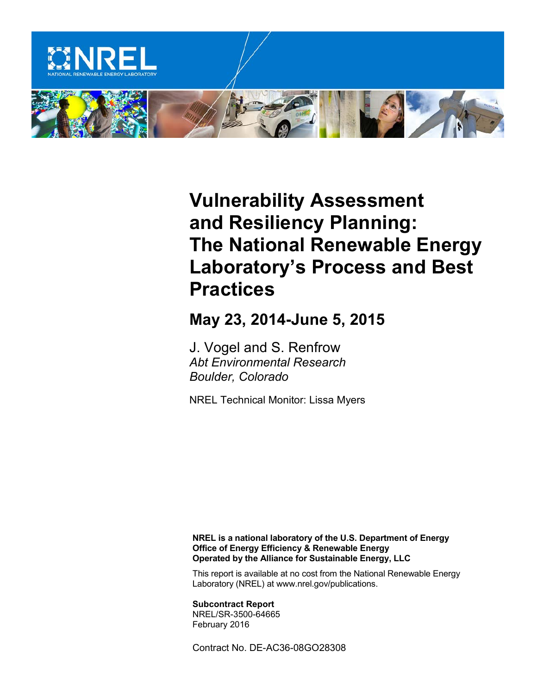

# **Vulnerability Assessment and Resiliency Planning: The National Renewable Energy Laboratory's Process and Best Practices**

## **May 23, 2014-June 5, 2015**

J. Vogel and S. Renfrow *Abt Environmental Research Boulder, Colorado* 

NREL Technical Monitor: Lissa Myers

**NREL is a national laboratory of the U.S. Department of Energy Office of Energy Efficiency & Renewable Energy Operated by the Alliance for Sustainable Energy, LLC**

This report is available at no cost from the National Renewable Energy Laboratory (NREL) at www.nrel.gov/publications.

**Subcontract Report** NREL/SR-3500-64665 February 2016

Contract No. DE-AC36-08GO28308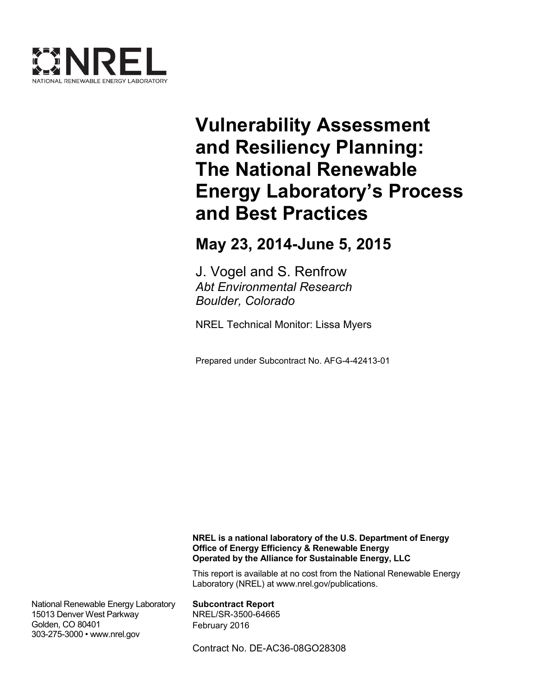

# **Vulnerability Assessment and Resiliency Planning: The National Renewable Energy Laboratory's Process and Best Practices**

**May 23, 2014-June 5, 2015** 

J. Vogel and S. Renfrow *Abt Environmental Research Boulder, Colorado* 

NREL Technical Monitor: Lissa Myers

Prepared under Subcontract No. AFG-4-42413-01

**NREL is a national laboratory of the U.S. Department of Energy Office of Energy Efficiency & Renewable Energy Operated by the Alliance for Sustainable Energy, LLC**

This report is available at no cost from the National Renewable Energy Laboratory (NREL) at www.nrel.gov/publications.

National Renewable Energy Laboratory 15013 Denver West Parkway Golden, CO 80401 303-275-3000 • www.nrel.gov

**Subcontract Report** NREL/SR-3500-64665 February 2016

Contract No. DE-AC36-08GO28308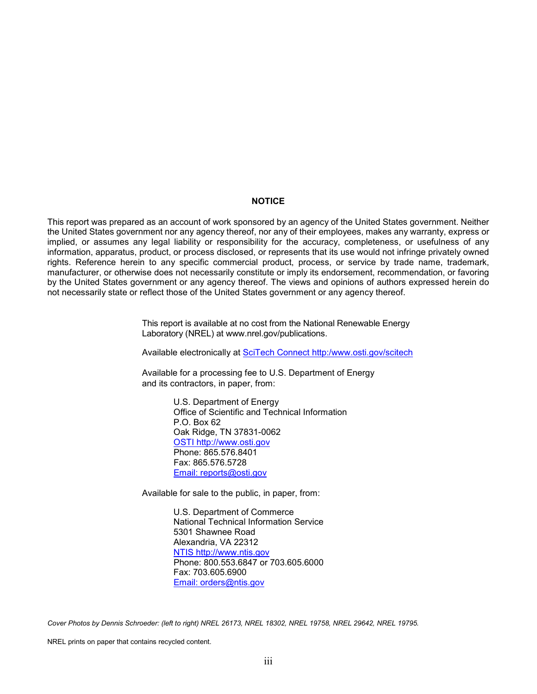#### **NOTICE**

This report was prepared as an account of work sponsored by an agency of the United States government. Neither the United States government nor any agency thereof, nor any of their employees, makes any warranty, express or implied, or assumes any legal liability or responsibility for the accuracy, completeness, or usefulness of any information, apparatus, product, or process disclosed, or represents that its use would not infringe privately owned rights. Reference herein to any specific commercial product, process, or service by trade name, trademark, manufacturer, or otherwise does not necessarily constitute or imply its endorsement, recommendation, or favoring by the United States government or any agency thereof. The views and opinions of authors expressed herein do not necessarily state or reflect those of the United States government or any agency thereof.

> This report is available at no cost from the National Renewable Energy Laboratory (NREL) at www.nrel.gov/publications.

Available electronically at [SciTech Connect http:/www.osti.gov/scitech](http://www.osti.gov/scitech)

Available for a processing fee to U.S. Department of Energy and its contractors, in paper, from:

> U.S. Department of Energy Office of Scientific and Technical Information P.O. Box 62 Oak Ridge, TN 37831-0062 [OSTI http://www.osti.gov](http://www.osti.gov/) Phone: 865.576.8401 Fax: 865.576.5728 [Email: reports@osti.gov](mailto:reports@osti.gov)

Available for sale to the public, in paper, from:

U.S. Department of Commerce National Technical Information Service 5301 Shawnee Road Alexandria, VA 22312 [NTIS http://www.ntis.gov](http://www.ntis.gov/) Phone: 800.553.6847 or 703.605.6000 Fax: 703.605.6900 [Email: orders@ntis.gov](mailto:orders@ntis.gov)

*Cover Photos by Dennis Schroeder: (left to right) NREL 26173, NREL 18302, NREL 19758, NREL 29642, NREL 19795.*

NREL prints on paper that contains recycled content.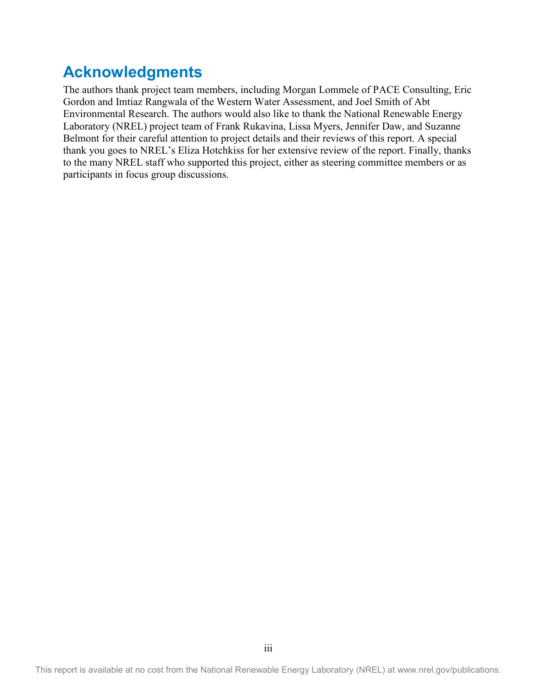## **Acknowledgments**

The authors thank project team members, including Morgan Lommele of PACE Consulting, Eric Gordon and Imtiaz Rangwala of the Western Water Assessment, and Joel Smith of Abt Environmental Research. The authors would also like to thank the National Renewable Energy Laboratory (NREL) project team of Frank Rukavina, Lissa Myers, Jennifer Daw, and Suzanne Belmont for their careful attention to project details and their reviews of this report. A special thank you goes to NREL's Eliza Hotchkiss for her extensive review of the report. Finally, thanks to the many NREL staff who supported this project, either as steering committee members or as participants in focus group discussions.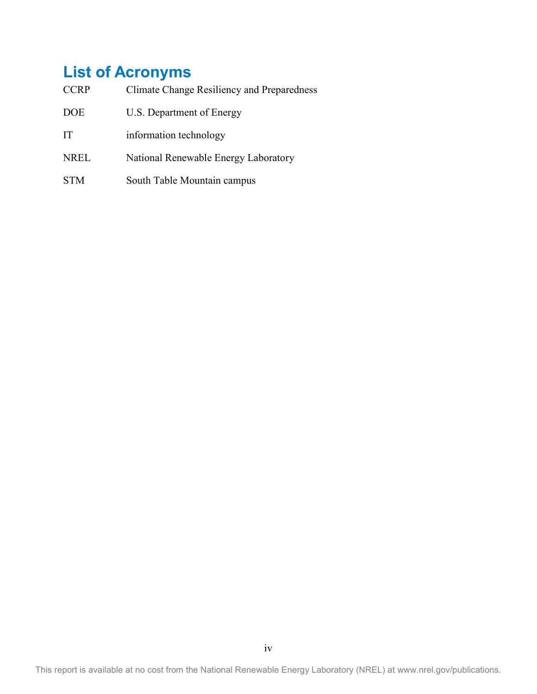## **List of Acronyms**

| <b>CCRP</b> | Climate Change Resiliency and Preparedness |
|-------------|--------------------------------------------|
| <b>DOE</b>  | U.S. Department of Energy                  |
| TТ          | information technology                     |
| <b>NREL</b> | National Renewable Energy Laboratory       |
| <b>STM</b>  | South Table Mountain campus                |

This report is available at no cost from the National Renewable Energy Laboratory (NREL) at www.nrel.gov/publications.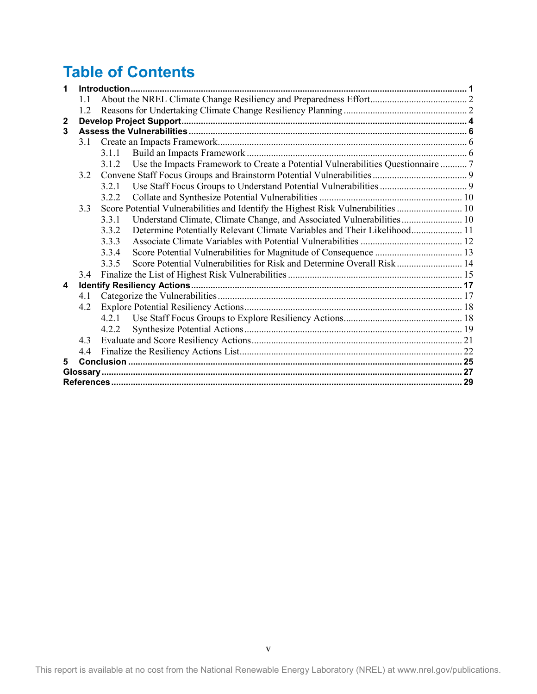## **Table of Contents**

| 1            |     |                                                                                           |  |
|--------------|-----|-------------------------------------------------------------------------------------------|--|
|              | 11  |                                                                                           |  |
|              | 12  |                                                                                           |  |
| $\mathbf{2}$ |     |                                                                                           |  |
| 3            |     |                                                                                           |  |
|              | 3.1 |                                                                                           |  |
|              |     | 3.1.1                                                                                     |  |
|              |     | Use the Impacts Framework to Create a Potential Vulnerabilities Questionnaire  7<br>3.1.2 |  |
|              | 3.2 |                                                                                           |  |
|              |     | 321                                                                                       |  |
|              |     | 322                                                                                       |  |
|              | 3.3 |                                                                                           |  |
|              |     | 3.3.1                                                                                     |  |
|              |     | Determine Potentially Relevant Climate Variables and Their Likelihood 11<br>3.3.2         |  |
|              |     | 3.3.3                                                                                     |  |
|              |     | 3.3.4                                                                                     |  |
|              |     | Score Potential Vulnerabilities for Risk and Determine Overall Risk 14<br>335             |  |
|              | 3.4 |                                                                                           |  |
| 4            |     |                                                                                           |  |
|              | 4.1 |                                                                                           |  |
|              | 4.2 |                                                                                           |  |
|              |     | 4.2.1                                                                                     |  |
|              |     | 4.2.2                                                                                     |  |
|              | 43  |                                                                                           |  |
|              | 44  |                                                                                           |  |
| 5            |     |                                                                                           |  |
|              |     |                                                                                           |  |
|              |     |                                                                                           |  |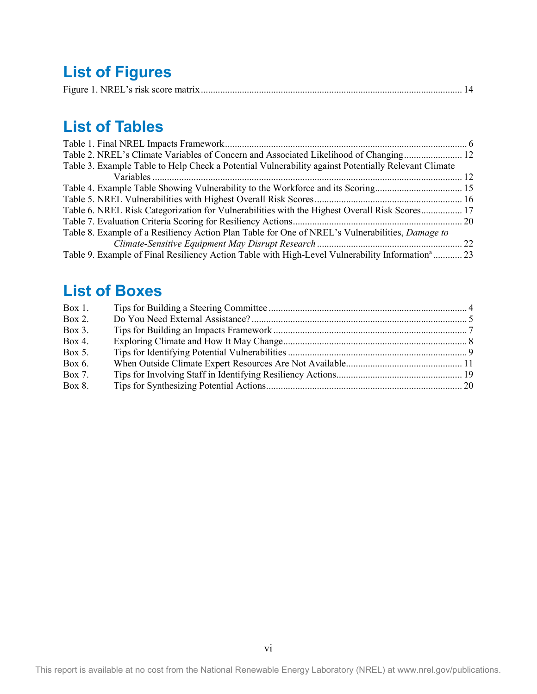## **List of Figures**

|--|--|--|

## **List of Tables**

| Table 2. NREL's Climate Variables of Concern and Associated Likelihood of Changing 12                       |  |
|-------------------------------------------------------------------------------------------------------------|--|
| Table 3. Example Table to Help Check a Potential Vulnerability against Potentially Relevant Climate         |  |
|                                                                                                             |  |
|                                                                                                             |  |
|                                                                                                             |  |
| Table 6. NREL Risk Categorization for Vulnerabilities with the Highest Overall Risk Scores 17               |  |
|                                                                                                             |  |
| Table 8. Example of a Resiliency Action Plan Table for One of NREL's Vulnerabilities, Damage to             |  |
|                                                                                                             |  |
| Table 9. Example of Final Resiliency Action Table with High-Level Vulnerability Information <sup>a</sup> 23 |  |

## **List of Boxes**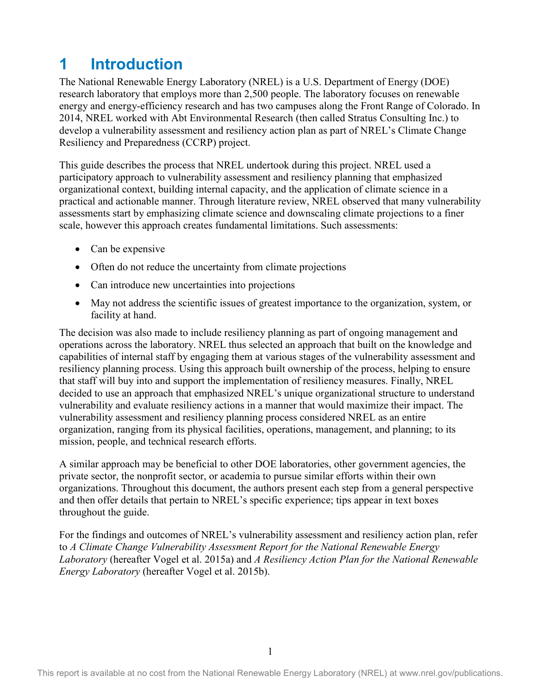## <span id="page-8-0"></span>**1 Introduction**

The National Renewable Energy Laboratory (NREL) is a U.S. Department of Energy (DOE) research laboratory that employs more than 2,500 people. The laboratory focuses on renewable energy and energy-efficiency research and has two campuses along the Front Range of Colorado. In 2014, NREL worked with Abt Environmental Research (then called Stratus Consulting Inc.) to develop a vulnerability assessment and resiliency action plan as part of NREL's Climate Change Resiliency and Preparedness (CCRP) project.

This guide describes the process that NREL undertook during this project. NREL used a participatory approach to vulnerability assessment and resiliency planning that emphasized organizational context, building internal capacity, and the application of climate science in a practical and actionable manner. Through literature review, NREL observed that many vulnerability assessments start by emphasizing climate science and downscaling climate projections to a finer scale, however this approach creates fundamental limitations. Such assessments:

- Can be expensive
- Often do not reduce the uncertainty from climate projections
- Can introduce new uncertainties into projections
- May not address the scientific issues of greatest importance to the organization, system, or facility at hand.

The decision was also made to include resiliency planning as part of ongoing management and operations across the laboratory. NREL thus selected an approach that built on the knowledge and capabilities of internal staff by engaging them at various stages of the vulnerability assessment and resiliency planning process. Using this approach built ownership of the process, helping to ensure that staff will buy into and support the implementation of resiliency measures. Finally, NREL decided to use an approach that emphasized NREL's unique organizational structure to understand vulnerability and evaluate resiliency actions in a manner that would maximize their impact. The vulnerability assessment and resiliency planning process considered NREL as an entire organization, ranging from its physical facilities, operations, management, and planning; to its mission, people, and technical research efforts.

A similar approach may be beneficial to other DOE laboratories, other government agencies, the private sector, the nonprofit sector, or academia to pursue similar efforts within their own organizations. Throughout this document, the authors present each step from a general perspective and then offer details that pertain to NREL's specific experience; tips appear in text boxes throughout the guide.

For the findings and outcomes of NREL's vulnerability assessment and resiliency action plan, refer to *A Climate Change Vulnerability Assessment Report for the National Renewable Energy Laboratory* (hereafter Vogel et al. 2015a) and *A Resiliency Action Plan for the National Renewable Energy Laboratory* (hereafter Vogel et al. 2015b).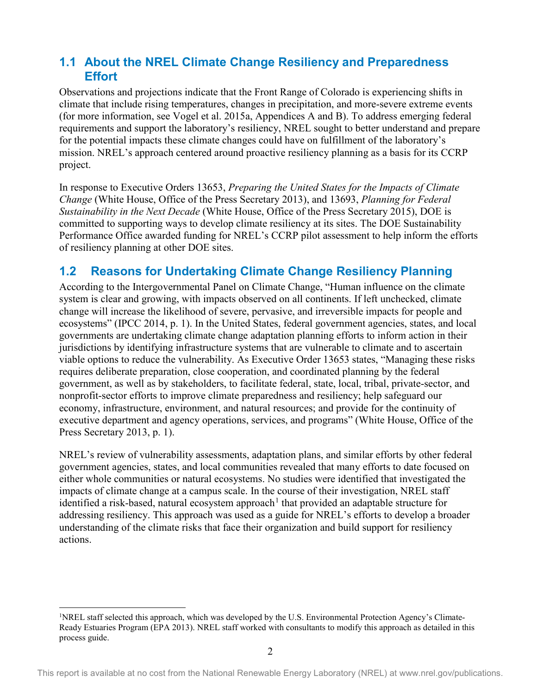## <span id="page-9-0"></span>**1.1 About the NREL Climate Change Resiliency and Preparedness Effort**

Observations and projections indicate that the Front Range of Colorado is experiencing shifts in climate that include rising temperatures, changes in precipitation, and more-severe extreme events (for more information, see Vogel et al. 2015a, Appendices A and B). To address emerging federal requirements and support the laboratory's resiliency, NREL sought to better understand and prepare for the potential impacts these climate changes could have on fulfillment of the laboratory's mission. NREL's approach centered around proactive resiliency planning as a basis for its CCRP project.

In response to Executive Orders 13653, *Preparing the United States for the Impacts of Climate Change* (White House, Office of the Press Secretary 2013), and 13693, *Planning for Federal Sustainability in the Next Decade* (White House, Office of the Press Secretary 2015), DOE is committed to supporting ways to develop climate resiliency at its sites. The DOE Sustainability Performance Office awarded funding for NREL's CCRP pilot assessment to help inform the efforts of resiliency planning at other DOE sites.

## <span id="page-9-1"></span>**1.2 Reasons for Undertaking Climate Change Resiliency Planning**

According to the Intergovernmental Panel on Climate Change, "Human influence on the climate system is clear and growing, with impacts observed on all continents. If left unchecked, climate change will increase the likelihood of severe, pervasive, and irreversible impacts for people and ecosystems" (IPCC 2014, p. 1). In the United States, federal government agencies, states, and local governments are undertaking climate change adaptation planning efforts to inform action in their jurisdictions by identifying infrastructure systems that are vulnerable to climate and to ascertain viable options to reduce the vulnerability. As Executive Order 13653 states, "Managing these risks requires deliberate preparation, close cooperation, and coordinated planning by the federal government, as well as by stakeholders, to facilitate federal, state, local, tribal, private-sector, and nonprofit-sector efforts to improve climate preparedness and resiliency; help safeguard our economy, infrastructure, environment, and natural resources; and provide for the continuity of executive department and agency operations, services, and programs" (White House, Office of the Press Secretary 2013, p. 1).

NREL's review of vulnerability assessments, adaptation plans, and similar efforts by other federal government agencies, states, and local communities revealed that many efforts to date focused on either whole communities or natural ecosystems. No studies were identified that investigated the impacts of climate change at a campus scale. In the course of their investigation, NREL staff identified a risk-based, natural ecosystem approach<sup>[1](#page-9-2)</sup> that provided an adaptable structure for addressing resiliency. This approach was used as a guide for NREL's efforts to develop a broader understanding of the climate risks that face their organization and build support for resiliency actions.

 $\overline{\phantom{a}}$ 

<span id="page-9-2"></span><sup>&</sup>lt;sup>1</sup>NREL staff selected this approach, which was developed by the U.S. Environmental Protection Agency's Climate-Ready Estuaries Program (EPA 2013). NREL staff worked with consultants to modify this approach as detailed in this process guide.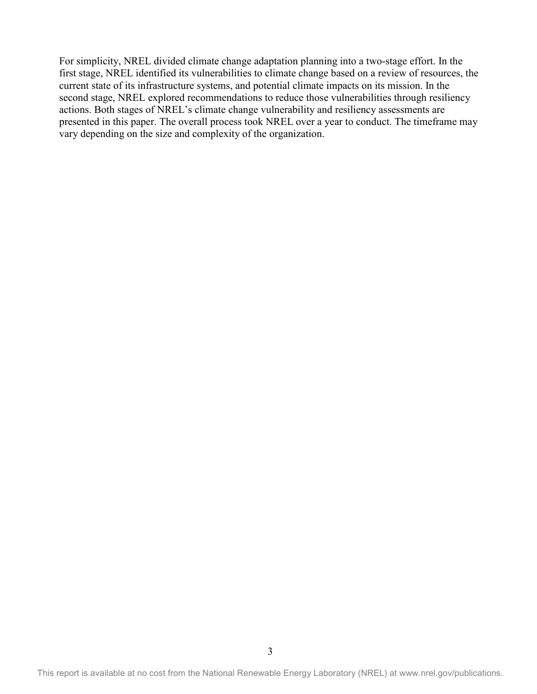For simplicity, NREL divided climate change adaptation planning into a two-stage effort. In the first stage, NREL identified its vulnerabilities to climate change based on a review of resources, the current state of its infrastructure systems, and potential climate impacts on its mission. In the second stage, NREL explored recommendations to reduce those vulnerabilities through resiliency actions. Both stages of NREL's climate change vulnerability and resiliency assessments are presented in this paper. The overall process took NREL over a year to conduct. The timeframe may vary depending on the size and complexity of the organization.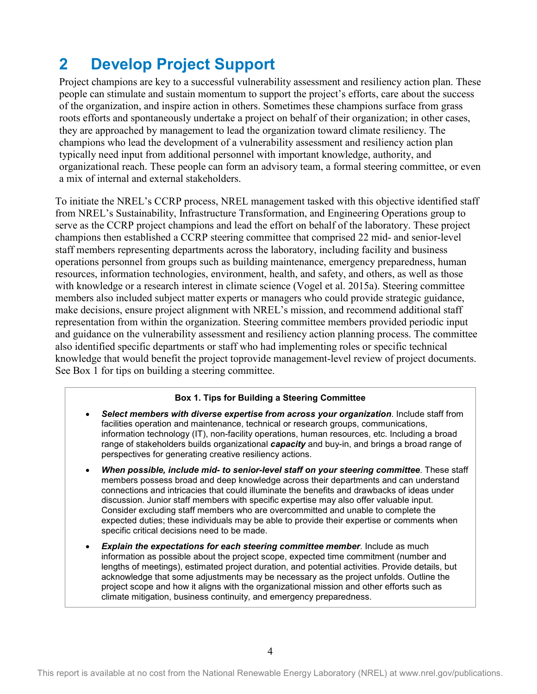## <span id="page-11-0"></span>**2 Develop Project Support**

Project champions are key to a successful vulnerability assessment and resiliency action plan. These people can stimulate and sustain momentum to support the project's efforts, care about the success of the organization, and inspire action in others. Sometimes these champions surface from grass roots efforts and spontaneously undertake a project on behalf of their organization; in other cases, they are approached by management to lead the organization toward climate resiliency. The champions who lead the development of a vulnerability assessment and resiliency action plan typically need input from additional personnel with important knowledge, authority, and organizational reach. These people can form an advisory team, a formal steering committee, or even a mix of internal and external stakeholders.

To initiate the NREL's CCRP process, NREL management tasked with this objective identified staff from NREL's Sustainability, Infrastructure Transformation, and Engineering Operations group to serve as the CCRP project champions and lead the effort on behalf of the laboratory. These project champions then established a CCRP steering committee that comprised 22 mid- and senior-level staff members representing departments across the laboratory, including facility and business operations personnel from groups such as building maintenance, emergency preparedness, human resources, information technologies, environment, health, and safety, and others, as well as those with knowledge or a research interest in climate science (Vogel et al. 2015a). Steering committee members also included subject matter experts or managers who could provide strategic guidance, make decisions, ensure project alignment with NREL's mission, and recommend additional staff representation from within the organization. Steering committee members provided periodic input and guidance on the vulnerability assessment and resiliency action planning process. The committee also identified specific departments or staff who had implementing roles or specific technical knowledge that would benefit the project toprovide management-level review of project documents. See Box 1 for tips on building a steering committee.

#### **Box 1. Tips for Building a Steering Committee**

- *Select members with diverse expertise from across your organization*. Include staff from facilities operation and maintenance, technical or research groups, communications, information technology (IT), non-facility operations, human resources, etc. Including a broad range of stakeholders builds organizational *capacity* and buy-in, and brings a broad range of perspectives for generating creative resiliency actions.
- *When possible, include mid- to senior-level staff on your steering committee*. These staff members possess broad and deep knowledge across their departments and can understand connections and intricacies that could illuminate the benefits and drawbacks of ideas under discussion. Junior staff members with specific expertise may also offer valuable input. Consider excluding staff members who are overcommitted and unable to complete the expected duties; these individuals may be able to provide their expertise or comments when specific critical decisions need to be made.
- *Explain the expectations for each steering committee member*. Include as much information as possible about the project scope, expected time commitment (number and lengths of meetings), estimated project duration, and potential activities. Provide details, but acknowledge that some adjustments may be necessary as the project unfolds. Outline the project scope and how it aligns with the organizational mission and other efforts such as climate mitigation, business continuity, and emergency preparedness.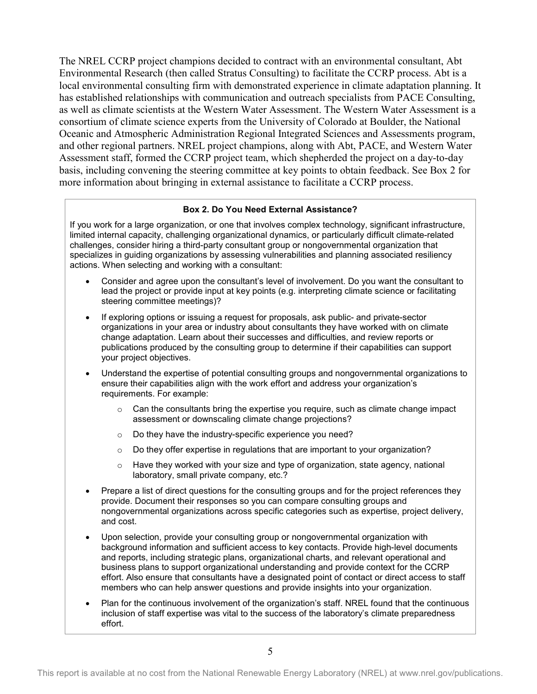The NREL CCRP project champions decided to contract with an environmental consultant, Abt Environmental Research (then called Stratus Consulting) to facilitate the CCRP process. Abt is a local environmental consulting firm with demonstrated experience in climate adaptation planning. It has established relationships with communication and outreach specialists from PACE Consulting, as well as climate scientists at the Western Water Assessment. The Western Water Assessment is a consortium of climate science experts from the University of Colorado at Boulder, the National Oceanic and Atmospheric Administration Regional Integrated Sciences and Assessments program, and other regional partners. NREL project champions, along with Abt, PACE, and Western Water Assessment staff, formed the CCRP project team, which shepherded the project on a day-to-day basis, including convening the steering committee at key points to obtain feedback. See Box 2 for more information about bringing in external assistance to facilitate a CCRP process.

#### **Box 2. Do You Need External Assistance?**

If you work for a large organization, or one that involves complex technology, significant infrastructure, limited internal capacity, challenging organizational dynamics, or particularly difficult climate-related challenges, consider hiring a third-party consultant group or nongovernmental organization that specializes in guiding organizations by assessing vulnerabilities and planning associated resiliency actions. When selecting and working with a consultant:

- Consider and agree upon the consultant's level of involvement. Do you want the consultant to lead the project or provide input at key points (e.g. interpreting climate science or facilitating steering committee meetings)?
- If exploring options or issuing a request for proposals, ask public- and private-sector organizations in your area or industry about consultants they have worked with on climate change adaptation. Learn about their successes and difficulties, and review reports or publications produced by the consulting group to determine if their capabilities can support your project objectives.
- Understand the expertise of potential consulting groups and nongovernmental organizations to ensure their capabilities align with the work effort and address your organization's requirements. For example:
	- $\circ$  Can the consultants bring the expertise you require, such as climate change impact assessment or downscaling climate change projections?
	- o Do they have the industry-specific experience you need?
	- $\circ$  Do they offer expertise in regulations that are important to your organization?
	- $\circ$  Have they worked with your size and type of organization, state agency, national laboratory, small private company, etc.?
- Prepare a list of direct questions for the consulting groups and for the project references they provide. Document their responses so you can compare consulting groups and nongovernmental organizations across specific categories such as expertise, project delivery, and cost.
- Upon selection, provide your consulting group or nongovernmental organization with background information and sufficient access to key contacts. Provide high-level documents and reports, including strategic plans, organizational charts, and relevant operational and business plans to support organizational understanding and provide context for the CCRP effort. Also ensure that consultants have a designated point of contact or direct access to staff members who can help answer questions and provide insights into your organization.
- Plan for the continuous involvement of the organization's staff. NREL found that the continuous inclusion of staff expertise was vital to the success of the laboratory's climate preparedness effort.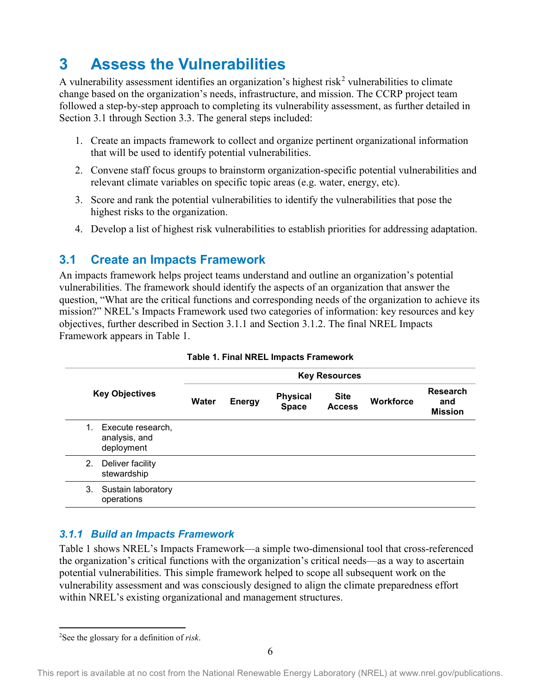## <span id="page-13-0"></span>**3 Assess the Vulnerabilities**

A vulnerability assessment identifies an organization's highest risk<sup>[2](#page-13-4)</sup> vulnerabilities to climate change based on the organization's needs, infrastructure, and mission. The CCRP project team followed a step-by-step approach to completing its vulnerability assessment, as further detailed in Section 3.1 through Section 3.3. The general steps included:

- 1. Create an impacts framework to collect and organize pertinent organizational information that will be used to identify potential vulnerabilities.
- 2. Convene staff focus groups to brainstorm organization-specific potential vulnerabilities and relevant climate variables on specific topic areas (e.g. water, energy, etc).
- 3. Score and rank the potential vulnerabilities to identify the vulnerabilities that pose the highest risks to the organization.
- 4. Develop a list of highest risk vulnerabilities to establish priorities for addressing adaptation.

## <span id="page-13-1"></span>**3.1 Create an Impacts Framework**

An impacts framework helps project teams understand and outline an organization's potential vulnerabilities. The framework should identify the aspects of an organization that answer the question, "What are the critical functions and corresponding needs of the organization to achieve its mission?" NREL's Impacts Framework used two categories of information: key resources and key objectives, further described in Section 3.1.1 and Section 3.1.2. The final NREL Impacts Framework appears in Table 1.

<span id="page-13-3"></span>

| <b>Key Objectives</b> |                                                  |       | <b>Key Resources</b> |                                 |                              |                  |                                          |
|-----------------------|--------------------------------------------------|-------|----------------------|---------------------------------|------------------------------|------------------|------------------------------------------|
|                       |                                                  | Water | <b>Energy</b>        | <b>Physical</b><br><b>Space</b> | <b>Site</b><br><b>Access</b> | <b>Workforce</b> | <b>Research</b><br>and<br><b>Mission</b> |
| 1.                    | Execute research,<br>analysis, and<br>deployment |       |                      |                                 |                              |                  |                                          |
| 2.                    | Deliver facility<br>stewardship                  |       |                      |                                 |                              |                  |                                          |
| 3.                    | Sustain laboratory<br>operations                 |       |                      |                                 |                              |                  |                                          |

#### **Table 1. Final NREL Impacts Framework**

### <span id="page-13-2"></span>*3.1.1 Build an Impacts Framework*

Table 1 shows NREL's Impacts Framework—a simple two-dimensional tool that cross-referenced the organization's critical functions with the organization's critical needs—as a way to ascertain potential vulnerabilities. This simple framework helped to scope all subsequent work on the vulnerability assessment and was consciously designed to align the climate preparedness effort within NREL's existing organizational and management structures.

l

<span id="page-13-4"></span><sup>2</sup> See the glossary for a definition of *risk*.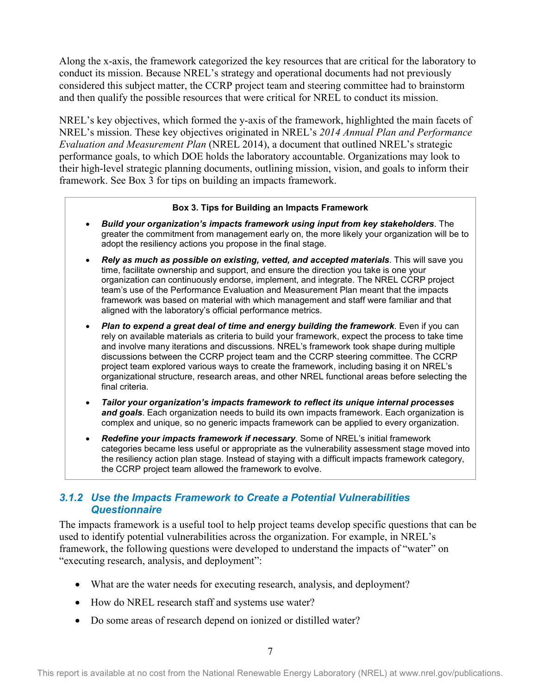Along the x-axis, the framework categorized the key resources that are critical for the laboratory to conduct its mission. Because NREL's strategy and operational documents had not previously considered this subject matter, the CCRP project team and steering committee had to brainstorm and then qualify the possible resources that were critical for NREL to conduct its mission.

NREL's key objectives, which formed the y-axis of the framework, highlighted the main facets of NREL's mission. These key objectives originated in NREL's *2014 Annual Plan and Performance Evaluation and Measurement Plan* (NREL 2014), a document that outlined NREL's strategic performance goals, to which DOE holds the laboratory accountable. Organizations may look to their high-level strategic planning documents, outlining mission, vision, and goals to inform their framework. See Box 3 for tips on building an impacts framework.

#### **Box 3. Tips for Building an Impacts Framework**

- *Build your organization's impacts framework using input from key stakeholders*. The greater the commitment from management early on, the more likely your organization will be to adopt the resiliency actions you propose in the final stage.
- *Rely as much as possible on existing, vetted, and accepted materials*. This will save you time, facilitate ownership and support, and ensure the direction you take is one your organization can continuously endorse, implement, and integrate. The NREL CCRP project team's use of the Performance Evaluation and Measurement Plan meant that the impacts framework was based on material with which management and staff were familiar and that aligned with the laboratory's official performance metrics.
- *Plan to expend a great deal of time and energy building the framework*. Even if you can rely on available materials as criteria to build your framework, expect the process to take time and involve many iterations and discussions. NREL's framework took shape during multiple discussions between the CCRP project team and the CCRP steering committee. The CCRP project team explored various ways to create the framework, including basing it on NREL's organizational structure, research areas, and other NREL functional areas before selecting the final criteria.
- *Tailor your organization's impacts framework to reflect its unique internal processes and goals*. Each organization needs to build its own impacts framework. Each organization is complex and unique, so no generic impacts framework can be applied to every organization.
- *Redefine your impacts framework if necessary*. Some of NREL's initial framework categories became less useful or appropriate as the vulnerability assessment stage moved into the resiliency action plan stage. Instead of staying with a difficult impacts framework category, the CCRP project team allowed the framework to evolve.

#### <span id="page-14-0"></span>*3.1.2 Use the Impacts Framework to Create a Potential Vulnerabilities Questionnaire*

The impacts framework is a useful tool to help project teams develop specific questions that can be used to identify potential vulnerabilities across the organization. For example, in NREL's framework, the following questions were developed to understand the impacts of "water" on "executing research, analysis, and deployment":

- What are the water needs for executing research, analysis, and deployment?
- How do NREL research staff and systems use water?
- Do some areas of research depend on ionized or distilled water?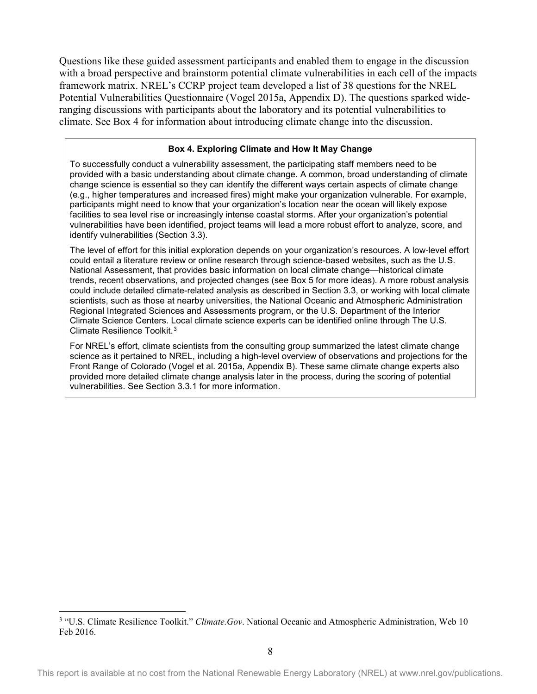Questions like these guided assessment participants and enabled them to engage in the discussion with a broad perspective and brainstorm potential climate vulnerabilities in each cell of the impacts framework matrix. NREL's CCRP project team developed a list of 38 questions for the NREL Potential Vulnerabilities Questionnaire (Vogel 2015a, Appendix D). The questions sparked wideranging discussions with participants about the laboratory and its potential vulnerabilities to climate. See Box 4 for information about introducing climate change into the discussion.

#### **Box 4. Exploring Climate and How It May Change**

To successfully conduct a vulnerability assessment, the participating staff members need to be provided with a basic understanding about climate change. A common, broad understanding of climate change science is essential so they can identify the different ways certain aspects of climate change (e.g., higher temperatures and increased fires) might make your organization vulnerable. For example, participants might need to know that your organization's location near the ocean will likely expose facilities to sea level rise or increasingly intense coastal storms. After your organization's potential vulnerabilities have been identified, project teams will lead a more robust effort to analyze, score, and identify vulnerabilities (Section 3.3).

The level of effort for this initial exploration depends on your organization's resources. A low-level effort could entail a literature review or online research through science-based websites, such as the U.S. National Assessment, that provides basic information on local climate change—historical climate trends, recent observations, and projected changes (see Box 5 for more ideas). A more robust analysis could include detailed climate-related analysis as described in Section 3.3, or working with local climate scientists, such as those at nearby universities, the National Oceanic and Atmospheric Administration Regional Integrated Sciences and Assessments program, or the U.S. Department of the Interior Climate Science Centers. Local climate science experts can be identified online through The U.S. Climate Resilience Toolkit.[3](#page-15-0)

For NREL's effort, climate scientists from the consulting group summarized the latest climate change science as it pertained to NREL, including a high-level overview of observations and projections for the Front Range of Colorado (Vogel et al. 2015a, Appendix B). These same climate change experts also provided more detailed climate change analysis later in the process, during the scoring of potential vulnerabilities. See Section 3.3.1 for more information.

l

<span id="page-15-0"></span><sup>3</sup> "U.S. Climate Resilience Toolkit." *Climate.Gov*. National Oceanic and Atmospheric Administration, Web 10 Feb 2016.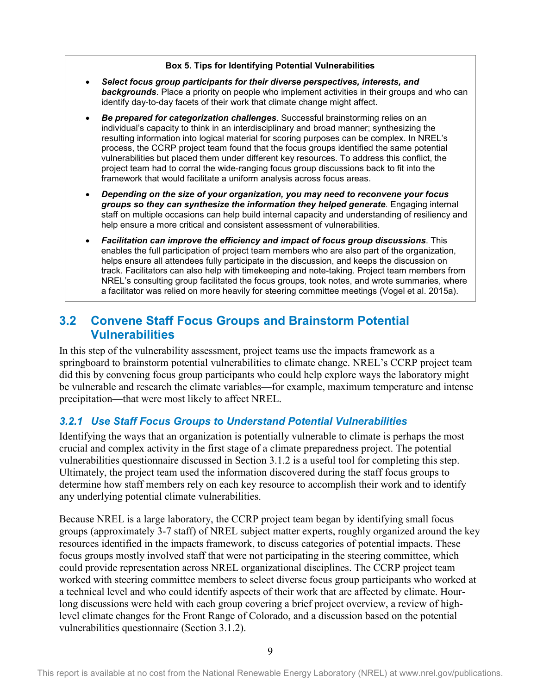#### **Box 5. Tips for Identifying Potential Vulnerabilities**

- *Select focus group participants for their diverse perspectives, interests, and backgrounds*. Place a priority on people who implement activities in their groups and who can identify day-to-day facets of their work that climate change might affect.
- *Be prepared for categorization challenges*. Successful brainstorming relies on an individual's capacity to think in an interdisciplinary and broad manner; synthesizing the resulting information into logical material for scoring purposes can be complex. In NREL's process, the CCRP project team found that the focus groups identified the same potential vulnerabilities but placed them under different key resources. To address this conflict, the project team had to corral the wide-ranging focus group discussions back to fit into the framework that would facilitate a uniform analysis across focus areas.
- *Depending on the size of your organization, you may need to reconvene your focus groups so they can synthesize the information they helped generate*. Engaging internal staff on multiple occasions can help build internal capacity and understanding of resiliency and help ensure a more critical and consistent assessment of vulnerabilities.
- *Facilitation can improve the efficiency and impact of focus group discussions*. This enables the full participation of project team members who are also part of the organization, helps ensure all attendees fully participate in the discussion, and keeps the discussion on track. Facilitators can also help with timekeeping and note-taking. Project team members from NREL's consulting group facilitated the focus groups, took notes, and wrote summaries, where a facilitator was relied on more heavily for steering committee meetings (Vogel et al. 2015a).

### <span id="page-16-0"></span>**3.2 Convene Staff Focus Groups and Brainstorm Potential Vulnerabilities**

In this step of the vulnerability assessment, project teams use the impacts framework as a springboard to brainstorm potential vulnerabilities to climate change. NREL's CCRP project team did this by convening focus group participants who could help explore ways the laboratory might be vulnerable and research the climate variables—for example, maximum temperature and intense precipitation—that were most likely to affect NREL.

### <span id="page-16-1"></span>*3.2.1 Use Staff Focus Groups to Understand Potential Vulnerabilities*

Identifying the ways that an organization is potentially vulnerable to climate is perhaps the most crucial and complex activity in the first stage of a climate preparedness project. The potential vulnerabilities questionnaire discussed in Section 3.1.2 is a useful tool for completing this step. Ultimately, the project team used the information discovered during the staff focus groups to determine how staff members rely on each key resource to accomplish their work and to identify any underlying potential climate vulnerabilities.

Because NREL is a large laboratory, the CCRP project team began by identifying small focus groups (approximately 3-7 staff) of NREL subject matter experts, roughly organized around the key resources identified in the impacts framework, to discuss categories of potential impacts. These focus groups mostly involved staff that were not participating in the steering committee, which could provide representation across NREL organizational disciplines. The CCRP project team worked with steering committee members to select diverse focus group participants who worked at a technical level and who could identify aspects of their work that are affected by climate. Hourlong discussions were held with each group covering a brief project overview, a review of highlevel climate changes for the Front Range of Colorado, and a discussion based on the potential vulnerabilities questionnaire (Section 3.1.2).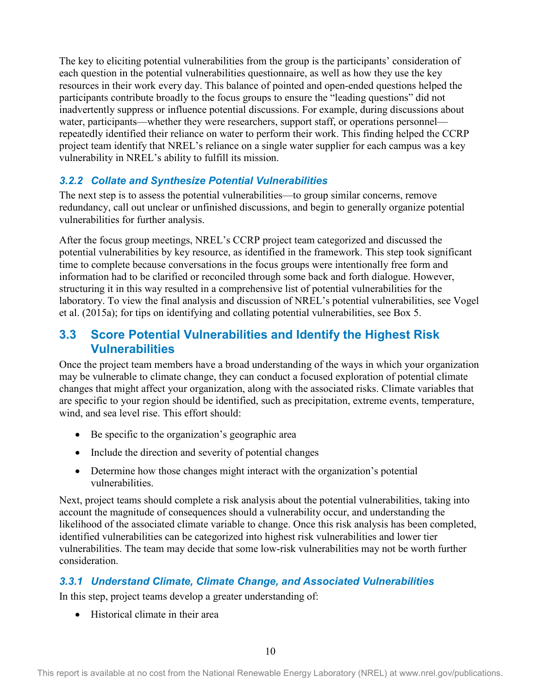The key to eliciting potential vulnerabilities from the group is the participants' consideration of each question in the potential vulnerabilities questionnaire, as well as how they use the key resources in their work every day. This balance of pointed and open-ended questions helped the participants contribute broadly to the focus groups to ensure the "leading questions" did not inadvertently suppress or influence potential discussions. For example, during discussions about water, participants—whether they were researchers, support staff, or operations personnel repeatedly identified their reliance on water to perform their work. This finding helped the CCRP project team identify that NREL's reliance on a single water supplier for each campus was a key vulnerability in NREL's ability to fulfill its mission.

### <span id="page-17-0"></span>*3.2.2 Collate and Synthesize Potential Vulnerabilities*

The next step is to assess the potential vulnerabilities—to group similar concerns, remove redundancy, call out unclear or unfinished discussions, and begin to generally organize potential vulnerabilities for further analysis.

After the focus group meetings, NREL's CCRP project team categorized and discussed the potential vulnerabilities by key resource, as identified in the framework. This step took significant time to complete because conversations in the focus groups were intentionally free form and information had to be clarified or reconciled through some back and forth dialogue. However, structuring it in this way resulted in a comprehensive list of potential vulnerabilities for the laboratory. To view the final analysis and discussion of NREL's potential vulnerabilities, see Vogel et al. (2015a); for tips on identifying and collating potential vulnerabilities, see Box 5.

### <span id="page-17-1"></span>**3.3 Score Potential Vulnerabilities and Identify the Highest Risk Vulnerabilities**

Once the project team members have a broad understanding of the ways in which your organization may be vulnerable to climate change, they can conduct a focused exploration of potential climate changes that might affect your organization, along with the associated risks. Climate variables that are specific to your region should be identified, such as precipitation, extreme events, temperature, wind, and sea level rise. This effort should:

- Be specific to the organization's geographic area
- Include the direction and severity of potential changes
- Determine how those changes might interact with the organization's potential vulnerabilities.

Next, project teams should complete a risk analysis about the potential vulnerabilities, taking into account the magnitude of consequences should a vulnerability occur, and understanding the likelihood of the associated climate variable to change. Once this risk analysis has been completed, identified vulnerabilities can be categorized into highest risk vulnerabilities and lower tier vulnerabilities. The team may decide that some low-risk vulnerabilities may not be worth further consideration.

### <span id="page-17-2"></span>*3.3.1 Understand Climate, Climate Change, and Associated Vulnerabilities*

In this step, project teams develop a greater understanding of:

• Historical climate in their area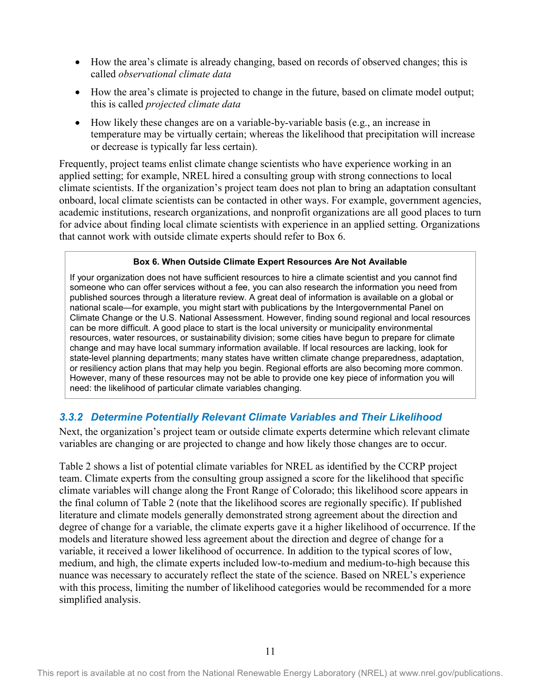- How the area's climate is already changing, based on records of observed changes; this is called *observational climate data*
- How the area's climate is projected to change in the future, based on climate model output; this is called *projected climate data*
- How likely these changes are on a variable-by-variable basis (e.g., an increase in temperature may be virtually certain; whereas the likelihood that precipitation will increase or decrease is typically far less certain).

Frequently, project teams enlist climate change scientists who have experience working in an applied setting; for example, NREL hired a consulting group with strong connections to local climate scientists. If the organization's project team does not plan to bring an adaptation consultant onboard, local climate scientists can be contacted in other ways. For example, government agencies, academic institutions, research organizations, and nonprofit organizations are all good places to turn for advice about finding local climate scientists with experience in an applied setting. Organizations that cannot work with outside climate experts should refer to Box 6.

#### **Box 6. When Outside Climate Expert Resources Are Not Available**

If your organization does not have sufficient resources to hire a climate scientist and you cannot find someone who can offer services without a fee, you can also research the information you need from published sources through a literature review. A great deal of information is available on a global or national scale—for example, you might start with publications by the Intergovernmental Panel on Climate Change or the U.S. National Assessment. However, finding sound regional and local resources can be more difficult. A good place to start is the local university or municipality environmental resources, water resources, or sustainability division; some cities have begun to prepare for climate change and may have local summary information available. If local resources are lacking, look for state-level planning departments; many states have written climate change preparedness, adaptation, or resiliency action plans that may help you begin. Regional efforts are also becoming more common. However, many of these resources may not be able to provide one key piece of information you will need: the likelihood of particular climate variables changing.

### <span id="page-18-0"></span>*3.3.2 Determine Potentially Relevant Climate Variables and Their Likelihood*

Next, the organization's project team or outside climate experts determine which relevant climate variables are changing or are projected to change and how likely those changes are to occur.

Table 2 shows a list of potential climate variables for NREL as identified by the CCRP project team. Climate experts from the consulting group assigned a score for the likelihood that specific climate variables will change along the Front Range of Colorado; this likelihood score appears in the final column of Table 2 (note that the likelihood scores are regionally specific). If published literature and climate models generally demonstrated strong agreement about the direction and degree of change for a variable, the climate experts gave it a higher likelihood of occurrence. If the models and literature showed less agreement about the direction and degree of change for a variable, it received a lower likelihood of occurrence. In addition to the typical scores of low, medium, and high, the climate experts included low-to-medium and medium-to-high because this nuance was necessary to accurately reflect the state of the science. Based on NREL's experience with this process, limiting the number of likelihood categories would be recommended for a more simplified analysis.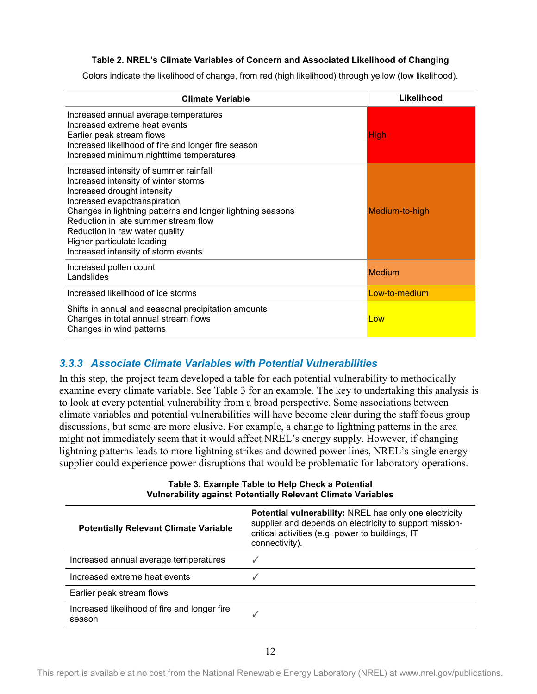#### **Table 2. NREL's Climate Variables of Concern and Associated Likelihood of Changing**

<span id="page-19-1"></span>Colors indicate the likelihood of change, from red (high likelihood) through yellow (low likelihood).

| <b>Climate Variable</b>                                                                                                                                                                                                                                                                                                                                    | Likelihood     |
|------------------------------------------------------------------------------------------------------------------------------------------------------------------------------------------------------------------------------------------------------------------------------------------------------------------------------------------------------------|----------------|
| Increased annual average temperatures<br>Increased extreme heat events<br>Earlier peak stream flows<br>Increased likelihood of fire and longer fire season<br>Increased minimum nighttime temperatures                                                                                                                                                     | <b>High</b>    |
| Increased intensity of summer rainfall<br>Increased intensity of winter storms<br>Increased drought intensity<br>Increased evapotranspiration<br>Changes in lightning patterns and longer lightning seasons<br>Reduction in late summer stream flow<br>Reduction in raw water quality<br>Higher particulate loading<br>Increased intensity of storm events | Medium-to-high |
| Increased pollen count<br>Landslides                                                                                                                                                                                                                                                                                                                       | <b>Medium</b>  |
| Increased likelihood of ice storms                                                                                                                                                                                                                                                                                                                         | Low-to-medium  |
| Shifts in annual and seasonal precipitation amounts<br>Changes in total annual stream flows<br>Changes in wind patterns                                                                                                                                                                                                                                    | Low            |

#### <span id="page-19-0"></span>*3.3.3 Associate Climate Variables with Potential Vulnerabilities*

In this step, the project team developed a table for each potential vulnerability to methodically examine every climate variable. See Table 3 for an example. The key to undertaking this analysis is to look at every potential vulnerability from a broad perspective. Some associations between climate variables and potential vulnerabilities will have become clear during the staff focus group discussions, but some are more elusive. For example, a change to lightning patterns in the area might not immediately seem that it would affect NREL's energy supply. However, if changing lightning patterns leads to more lightning strikes and downed power lines, NREL's single energy supplier could experience power disruptions that would be problematic for laboratory operations.

<span id="page-19-2"></span>

| <b>VUINGRADINTY against Potentially Relevant Climate Variables</b> |                                                                                                                                                                                                |  |  |  |  |
|--------------------------------------------------------------------|------------------------------------------------------------------------------------------------------------------------------------------------------------------------------------------------|--|--|--|--|
| <b>Potentially Relevant Climate Variable</b>                       | <b>Potential vulnerability: NREL has only one electricity</b><br>supplier and depends on electricity to support mission-<br>critical activities (e.g. power to buildings, IT<br>connectivity). |  |  |  |  |
| Increased annual average temperatures                              | J                                                                                                                                                                                              |  |  |  |  |
| Increased extreme heat events                                      |                                                                                                                                                                                                |  |  |  |  |
| Earlier peak stream flows                                          |                                                                                                                                                                                                |  |  |  |  |
| Increased likelihood of fire and longer fire<br>season             |                                                                                                                                                                                                |  |  |  |  |

#### **Table 3. Example Table to Help Check a Potential Vulnerability against Potentially Relevant Climate Variables**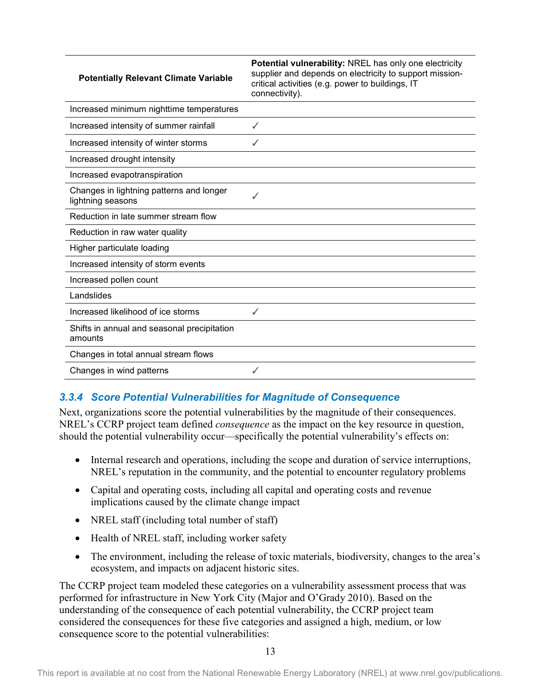#### **Potentially Relevant Climate Variable**

**Potential vulnerability:** NREL has only one electricity supplier and depends on electricity to support missioncritical activities (e.g. power to buildings, IT connectivity).

| Increased minimum nighttime temperatures                      |   |
|---------------------------------------------------------------|---|
| Increased intensity of summer rainfall                        | ✓ |
| Increased intensity of winter storms                          |   |
| Increased drought intensity                                   |   |
| Increased evapotranspiration                                  |   |
| Changes in lightning patterns and longer<br>lightning seasons |   |
| Reduction in late summer stream flow                          |   |
| Reduction in raw water quality                                |   |
| Higher particulate loading                                    |   |
| Increased intensity of storm events                           |   |
| Increased pollen count                                        |   |
| Landslides                                                    |   |
| Increased likelihood of ice storms                            | ✓ |
| Shifts in annual and seasonal precipitation<br>amounts        |   |
| Changes in total annual stream flows                          |   |
| Changes in wind patterns                                      |   |

### <span id="page-20-0"></span>*3.3.4 Score Potential Vulnerabilities for Magnitude of Consequence*

Next, organizations score the potential vulnerabilities by the magnitude of their consequences. NREL's CCRP project team defined *consequence* as the impact on the key resource in question, should the potential vulnerability occur—specifically the potential vulnerability's effects on:

- Internal research and operations, including the scope and duration of service interruptions, NREL's reputation in the community, and the potential to encounter regulatory problems
- Capital and operating costs, including all capital and operating costs and revenue implications caused by the climate change impact
- NREL staff (including total number of staff)
- Health of NREL staff, including worker safety
- The environment, including the release of toxic materials, biodiversity, changes to the area's ecosystem, and impacts on adjacent historic sites.

The CCRP project team modeled these categories on a vulnerability assessment process that was performed for infrastructure in New York City (Major and O'Grady 2010). Based on the understanding of the consequence of each potential vulnerability, the CCRP project team considered the consequences for these five categories and assigned a high, medium, or low consequence score to the potential vulnerabilities: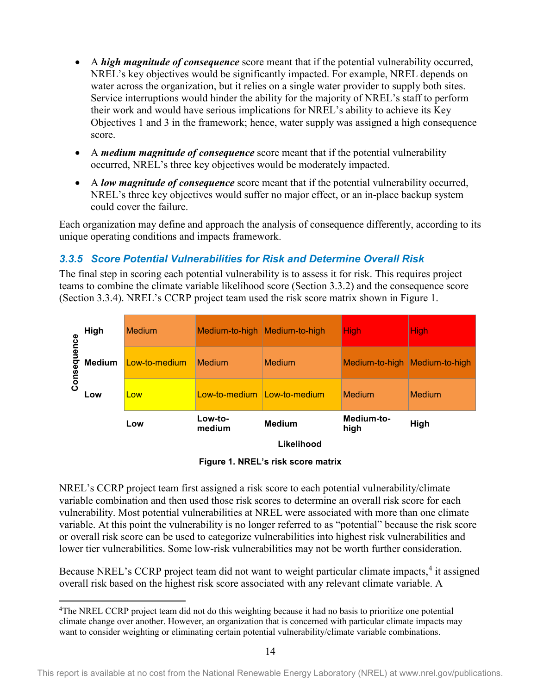- A *high magnitude of consequence* score meant that if the potential vulnerability occurred, NREL's key objectives would be significantly impacted. For example, NREL depends on water across the organization, but it relies on a single water provider to supply both sites. Service interruptions would hinder the ability for the majority of NREL's staff to perform their work and would have serious implications for NREL's ability to achieve its Key Objectives 1 and 3 in the framework; hence, water supply was assigned a high consequence score.
- A *medium magnitude of consequence* score meant that if the potential vulnerability occurred, NREL's three key objectives would be moderately impacted.
- A *low magnitude of consequence* score meant that if the potential vulnerability occurred, NREL's three key objectives would suffer no major effect, or an in-place backup system could cover the failure.

Each organization may define and approach the analysis of consequence differently, according to its unique operating conditions and impacts framework.

### <span id="page-21-0"></span>*3.3.5 Score Potential Vulnerabilities for Risk and Determine Overall Risk*

The final step in scoring each potential vulnerability is to assess it for risk. This requires project teams to combine the climate variable likelihood score (Section 3.3.2) and the consequence score (Section 3.3.4). NREL's CCRP project team used the risk score matrix shown in Figure 1.



**Likelihood** 

**Figure 1. NREL's risk score matrix**

<span id="page-21-1"></span>NREL's CCRP project team first assigned a risk score to each potential vulnerability/climate variable combination and then used those risk scores to determine an overall risk score for each vulnerability. Most potential vulnerabilities at NREL were associated with more than one climate variable. At this point the vulnerability is no longer referred to as "potential" because the risk score or overall risk score can be used to categorize vulnerabilities into highest risk vulnerabilities and lower tier vulnerabilities. Some low-risk vulnerabilities may not be worth further consideration.

Because NREL's CCRP project team did not want to weight particular climate impacts,<sup>[4](#page-21-2)</sup> it assigned overall risk based on the highest risk score associated with any relevant climate variable. A

l

<span id="page-21-2"></span><sup>4</sup>The NREL CCRP project team did not do this weighting because it had no basis to prioritize one potential climate change over another. However, an organization that is concerned with particular climate impacts may want to consider weighting or eliminating certain potential vulnerability/climate variable combinations.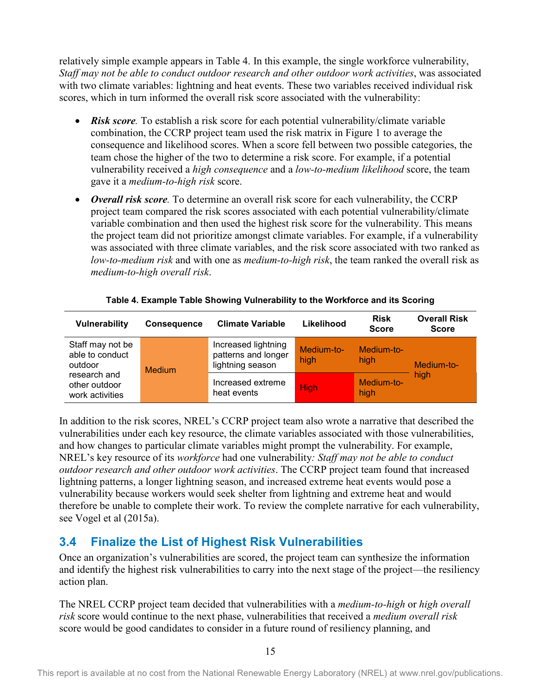relatively simple example appears in Table 4. In this example, the single workforce vulnerability, *Staff may not be able to conduct outdoor research and other outdoor work activities*, was associated with two climate variables: lightning and heat events. These two variables received individual risk scores, which in turn informed the overall risk score associated with the vulnerability:

- *Risk score.* To establish a risk score for each potential vulnerability/climate variable combination, the CCRP project team used the risk matrix in Figure 1 to average the consequence and likelihood scores. When a score fell between two possible categories, the team chose the higher of the two to determine a risk score. For example, if a potential vulnerability received a *high consequence* and a *low-to-medium likelihood* score, the team gave it a *medium-to-high risk* score.
- *Overall risk score.* To determine an overall risk score for each vulnerability, the CCRP project team compared the risk scores associated with each potential vulnerability/climate variable combination and then used the highest risk score for the vulnerability. This means the project team did not prioritize amongst climate variables. For example, if a vulnerability was associated with three climate variables, and the risk score associated with two ranked as *low-to-medium risk* and with one as *medium-to-high risk*, the team ranked the overall risk as *medium-to-high overall risk*.

<span id="page-22-1"></span>

| Vulnerability                                    | <b>Consequence</b> | <b>Climate Variable</b>                                        | Likelihood         | <b>Risk</b><br><b>Score</b> | <b>Overall Risk</b><br><b>Score</b> |
|--------------------------------------------------|--------------------|----------------------------------------------------------------|--------------------|-----------------------------|-------------------------------------|
| Staff may not be<br>able to conduct<br>outdoor   | <b>Medium</b>      | Increased lightning<br>patterns and longer<br>lightning season | Medium-to-<br>high | Medium-to-<br>high          | Medium-to-                          |
| research and<br>other outdoor<br>work activities |                    | Increased extreme<br>heat events                               | <b>High</b>        | Medium-to-<br>high          | high                                |

#### **Table 4. Example Table Showing Vulnerability to the Workforce and its Scoring**

In addition to the risk scores, NREL's CCRP project team also wrote a narrative that described the vulnerabilities under each key resource, the climate variables associated with those vulnerabilities, and how changes to particular climate variables might prompt the vulnerability. For example, NREL's key resource of its *workforce* had one vulnerability*: Staff may not be able to conduct outdoor research and other outdoor work activities*. The CCRP project team found that increased lightning patterns, a longer lightning season, and increased extreme heat events would pose a vulnerability because workers would seek shelter from lightning and extreme heat and would therefore be unable to complete their work. To review the complete narrative for each vulnerability, see Vogel et al (2015a).

### <span id="page-22-0"></span>**3.4 Finalize the List of Highest Risk Vulnerabilities**

Once an organization's vulnerabilities are scored, the project team can synthesize the information and identify the highest risk vulnerabilities to carry into the next stage of the project—the resiliency action plan.

The NREL CCRP project team decided that vulnerabilities with a *medium-to-high* or *high overall risk* score would continue to the next phase, vulnerabilities that received a *medium overall risk*  score would be good candidates to consider in a future round of resiliency planning, and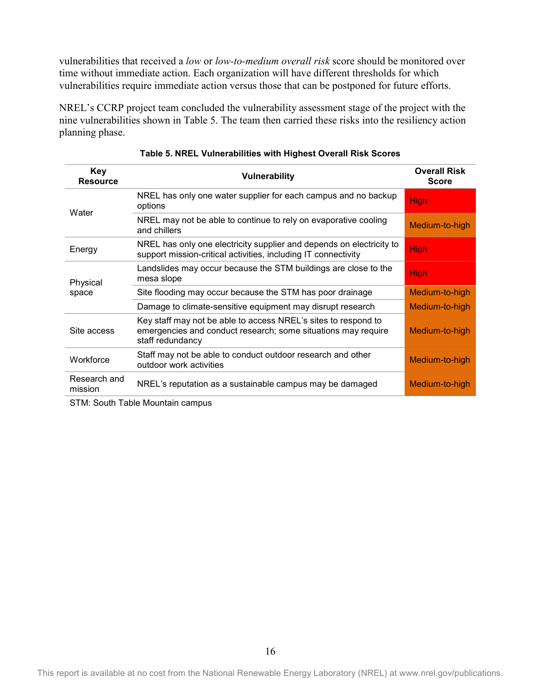vulnerabilities that received a *low* or *low-to-medium overall risk* score should be monitored over time without immediate action. Each organization will have different thresholds for which vulnerabilities require immediate action versus those that can be postponed for future efforts.

NREL's CCRP project team concluded the vulnerability assessment stage of the project with the nine vulnerabilities shown in Table 5. The team then carried these risks into the resiliency action planning phase.

<span id="page-23-0"></span>

| Key<br><b>Resource</b>  | <b>Vulnerability</b>                                                                                                                                | <b>Overall Risk</b><br><b>Score</b> |  |  |  |
|-------------------------|-----------------------------------------------------------------------------------------------------------------------------------------------------|-------------------------------------|--|--|--|
| Water                   | NREL has only one water supplier for each campus and no backup<br>options                                                                           | <b>High</b>                         |  |  |  |
|                         | NREL may not be able to continue to rely on evaporative cooling<br>and chillers                                                                     | Medium-to-high                      |  |  |  |
| Energy                  | NREL has only one electricity supplier and depends on electricity to<br>support mission-critical activities, including IT connectivity              |                                     |  |  |  |
| Physical                | Landslides may occur because the STM buildings are close to the<br>mesa slope                                                                       | <b>High</b>                         |  |  |  |
| space                   | Site flooding may occur because the STM has poor drainage                                                                                           | Medium-to-high                      |  |  |  |
|                         | Damage to climate-sensitive equipment may disrupt research                                                                                          | Medium-to-high                      |  |  |  |
| Site access             | Key staff may not be able to access NREL's sites to respond to<br>emergencies and conduct research; some situations may require<br>staff redundancy | Medium-to-high                      |  |  |  |
| Workforce               | Staff may not be able to conduct outdoor research and other<br>outdoor work activities                                                              | Medium-to-high                      |  |  |  |
| Research and<br>mission | NREL's reputation as a sustainable campus may be damaged                                                                                            | Medium-to-high                      |  |  |  |

|  | Table 5. NREL Vulnerabilities with Highest Overall Risk Scores |  |  |  |
|--|----------------------------------------------------------------|--|--|--|
|  |                                                                |  |  |  |

STM: South Table Mountain campus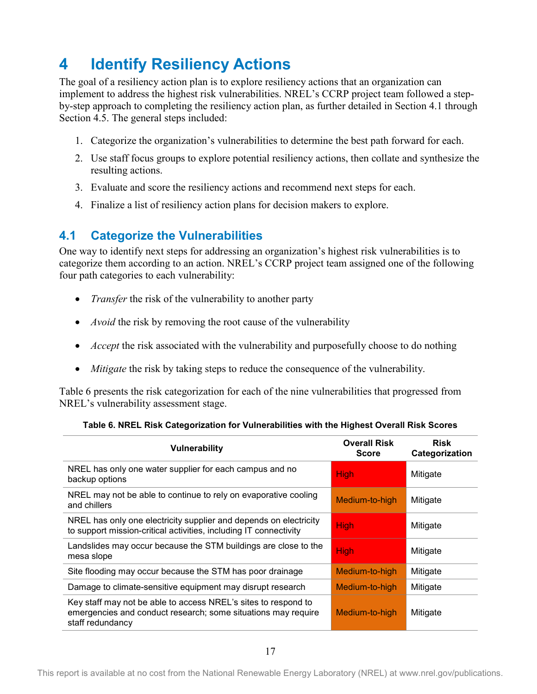## <span id="page-24-0"></span>**4 Identify Resiliency Actions**

The goal of a resiliency action plan is to explore resiliency actions that an organization can implement to address the highest risk vulnerabilities. NREL's CCRP project team followed a stepby-step approach to completing the resiliency action plan, as further detailed in Section 4.1 through Section 4.5. The general steps included:

- 1. Categorize the organization's vulnerabilities to determine the best path forward for each.
- 2. Use staff focus groups to explore potential resiliency actions, then collate and synthesize the resulting actions.
- 3. Evaluate and score the resiliency actions and recommend next steps for each.
- 4. Finalize a list of resiliency action plans for decision makers to explore.

## <span id="page-24-1"></span>**4.1 Categorize the Vulnerabilities**

One way to identify next steps for addressing an organization's highest risk vulnerabilities is to categorize them according to an action. NREL's CCRP project team assigned one of the following four path categories to each vulnerability:

- *Transfer* the risk of the vulnerability to another party
- *Avoid* the risk by removing the root cause of the vulnerability
- *Accept* the risk associated with the vulnerability and purposefully choose to do nothing
- *Mitigate* the risk by taking steps to reduce the consequence of the vulnerability.

Table 6 presents the risk categorization for each of the nine vulnerabilities that progressed from NREL's vulnerability assessment stage.

<span id="page-24-2"></span>

| <b>Vulnerability</b>                                                                                                                                | <b>Overall Risk</b><br><b>Score</b> | <b>Risk</b><br>Categorization |
|-----------------------------------------------------------------------------------------------------------------------------------------------------|-------------------------------------|-------------------------------|
| NREL has only one water supplier for each campus and no<br>backup options                                                                           | <b>High</b>                         | Mitigate                      |
| NREL may not be able to continue to rely on evaporative cooling<br>and chillers                                                                     | Medium-to-high                      | Mitigate                      |
| NREL has only one electricity supplier and depends on electricity<br>to support mission-critical activities, including IT connectivity              | <b>High</b>                         | Mitigate                      |
| Landslides may occur because the STM buildings are close to the<br>mesa slope                                                                       | <b>High</b>                         | Mitigate                      |
| Site flooding may occur because the STM has poor drainage                                                                                           | Medium-to-high                      | Mitigate                      |
| Damage to climate-sensitive equipment may disrupt research                                                                                          | Medium-to-high                      | Mitigate                      |
| Key staff may not be able to access NREL's sites to respond to<br>emergencies and conduct research; some situations may require<br>staff redundancy | Medium-to-high                      | Mitigate                      |

#### **Table 6. NREL Risk Categorization for Vulnerabilities with the Highest Overall Risk Scores**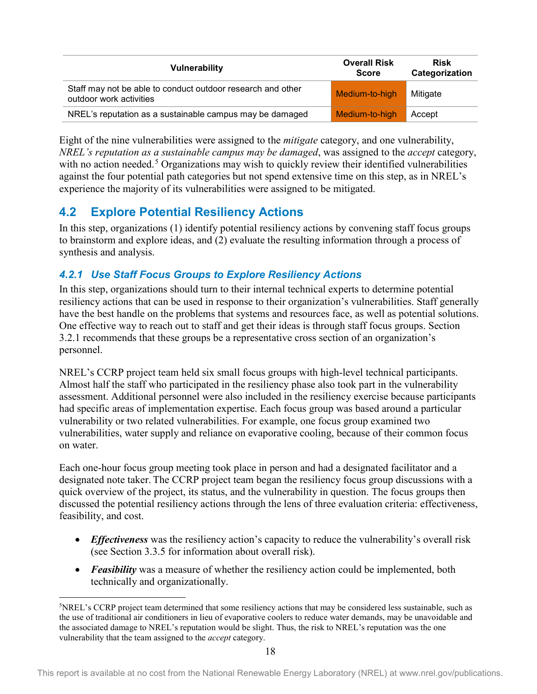| <b>Vulnerability</b>                                                                   | <b>Overall Risk</b><br><b>Score</b> | <b>Risk</b><br>Categorization |
|----------------------------------------------------------------------------------------|-------------------------------------|-------------------------------|
| Staff may not be able to conduct outdoor research and other<br>outdoor work activities | Medium-to-high                      | Mitigate                      |
| NREL's reputation as a sustainable campus may be damaged                               | Medium-to-high                      | Accept                        |

Eight of the nine vulnerabilities were assigned to the *mitigate* category, and one vulnerability, *NREL's reputation as a sustainable campus may be damaged*, was assigned to the *accept* category, with no action needed.<sup>[5](#page-25-2)</sup> Organizations may wish to quickly review their identified vulnerabilities against the four potential path categories but not spend extensive time on this step, as in NREL's experience the majority of its vulnerabilities were assigned to be mitigated.

## <span id="page-25-0"></span>**4.2 Explore Potential Resiliency Actions**

l

In this step, organizations (1) identify potential resiliency actions by convening staff focus groups to brainstorm and explore ideas, and (2) evaluate the resulting information through a process of synthesis and analysis.

### <span id="page-25-1"></span>*4.2.1 Use Staff Focus Groups to Explore Resiliency Actions*

In this step, organizations should turn to their internal technical experts to determine potential resiliency actions that can be used in response to their organization's vulnerabilities. Staff generally have the best handle on the problems that systems and resources face, as well as potential solutions. One effective way to reach out to staff and get their ideas is through staff focus groups. Section 3.2.1 recommends that these groups be a representative cross section of an organization's personnel.

NREL's CCRP project team held six small focus groups with high-level technical participants. Almost half the staff who participated in the resiliency phase also took part in the vulnerability assessment. Additional personnel were also included in the resiliency exercise because participants had specific areas of implementation expertise. Each focus group was based around a particular vulnerability or two related vulnerabilities. For example, one focus group examined two vulnerabilities, water supply and reliance on evaporative cooling, because of their common focus on water.

Each one-hour focus group meeting took place in person and had a designated facilitator and a designated note taker. The CCRP project team began the resiliency focus group discussions with a quick overview of the project, its status, and the vulnerability in question. The focus groups then discussed the potential resiliency actions through the lens of three evaluation criteria: effectiveness, feasibility, and cost.

- *Effectiveness* was the resiliency action's capacity to reduce the vulnerability's overall risk (see Section 3.3.5 for information about overall risk).
- *Feasibility* was a measure of whether the resiliency action could be implemented, both technically and organizationally.

<span id="page-25-2"></span><sup>5</sup> NREL's CCRP project team determined that some resiliency actions that may be considered less sustainable, such as the use of traditional air conditioners in lieu of evaporative coolers to reduce water demands, may be unavoidable and the associated damage to NREL's reputation would be slight. Thus, the risk to NREL's reputation was the one vulnerability that the team assigned to the *accept* category.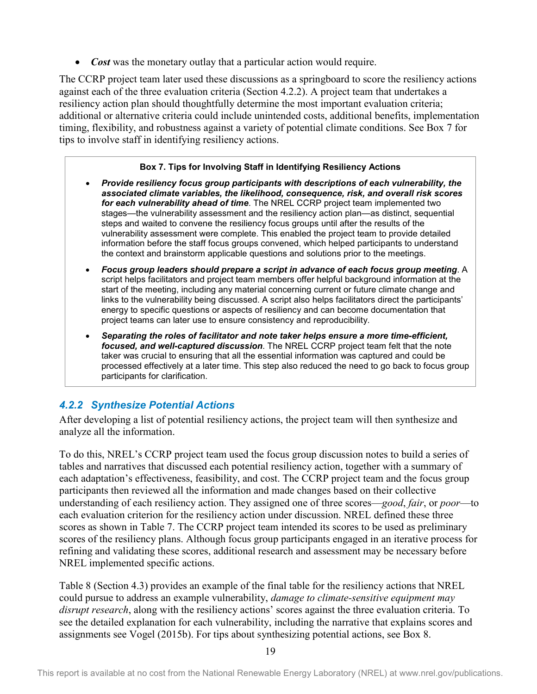• *Cost* was the monetary outlay that a particular action would require.

The CCRP project team later used these discussions as a springboard to score the resiliency actions against each of the three evaluation criteria (Section 4.2.2). A project team that undertakes a resiliency action plan should thoughtfully determine the most important evaluation criteria; additional or alternative criteria could include unintended costs, additional benefits, implementation timing, flexibility, and robustness against a variety of potential climate conditions. See Box 7 for tips to involve staff in identifying resiliency actions.

#### **Box 7. Tips for Involving Staff in Identifying Resiliency Actions**

- *Provide resiliency focus group participants with descriptions of each vulnerability, the associated climate variables, the likelihood, consequence, risk, and overall risk scores for each vulnerability ahead of time*. The NREL CCRP project team implemented two stages—the vulnerability assessment and the resiliency action plan—as distinct, sequential steps and waited to convene the resiliency focus groups until after the results of the vulnerability assessment were complete. This enabled the project team to provide detailed information before the staff focus groups convened, which helped participants to understand the context and brainstorm applicable questions and solutions prior to the meetings.
- *Focus group leaders should prepare a script in advance of each focus group meeting*. A script helps facilitators and project team members offer helpful background information at the start of the meeting, including any material concerning current or future climate change and links to the vulnerability being discussed. A script also helps facilitators direct the participants' energy to specific questions or aspects of resiliency and can become documentation that project teams can later use to ensure consistency and reproducibility.
- *Separating the roles of facilitator and note taker helps ensure a more time-efficient, focused, and well-captured discussion*. The NREL CCRP project team felt that the note taker was crucial to ensuring that all the essential information was captured and could be processed effectively at a later time. This step also reduced the need to go back to focus group participants for clarification.

### <span id="page-26-0"></span>*4.2.2 Synthesize Potential Actions*

After developing a list of potential resiliency actions, the project team will then synthesize and analyze all the information.

To do this, NREL's CCRP project team used the focus group discussion notes to build a series of tables and narratives that discussed each potential resiliency action, together with a summary of each adaptation's effectiveness, feasibility, and cost. The CCRP project team and the focus group participants then reviewed all the information and made changes based on their collective understanding of each resiliency action. They assigned one of three scores—*good*, *fair*, or *poor*—to each evaluation criterion for the resiliency action under discussion. NREL defined these three scores as shown in Table 7. The CCRP project team intended its scores to be used as preliminary scores of the resiliency plans. Although focus group participants engaged in an iterative process for refining and validating these scores, additional research and assessment may be necessary before NREL implemented specific actions.

Table 8 (Section 4.3) provides an example of the final table for the resiliency actions that NREL could pursue to address an example vulnerability, *damage to climate-sensitive equipment may disrupt research*, along with the resiliency actions' scores against the three evaluation criteria. To see the detailed explanation for each vulnerability, including the narrative that explains scores and assignments see Vogel (2015b). For tips about synthesizing potential actions, see Box 8.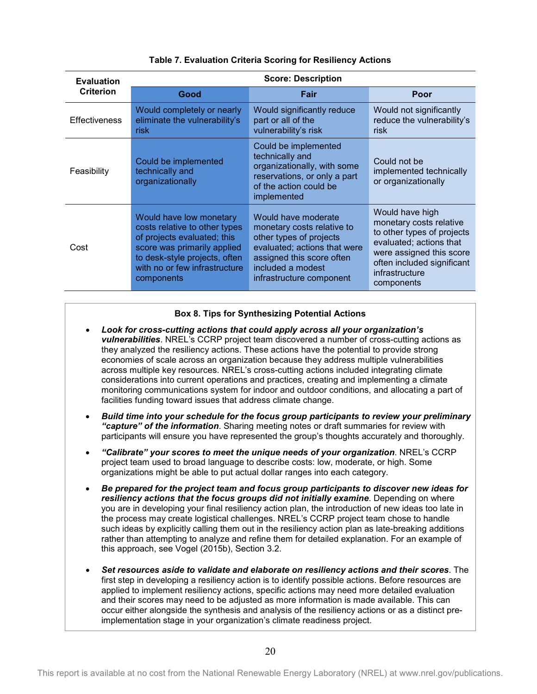<span id="page-27-0"></span>

| <b>Evaluation</b> | <b>Score: Description</b>                                                                                                                                                                              |                                                                                                                                                                                            |                                                                                                                                                                                               |  |
|-------------------|--------------------------------------------------------------------------------------------------------------------------------------------------------------------------------------------------------|--------------------------------------------------------------------------------------------------------------------------------------------------------------------------------------------|-----------------------------------------------------------------------------------------------------------------------------------------------------------------------------------------------|--|
| <b>Criterion</b>  | Good                                                                                                                                                                                                   | Fair                                                                                                                                                                                       | Poor                                                                                                                                                                                          |  |
| Effectiveness     | Would completely or nearly<br>eliminate the vulnerability's<br><b>risk</b>                                                                                                                             | Would significantly reduce<br>part or all of the<br>vulnerability's risk                                                                                                                   | Would not significantly<br>reduce the vulnerability's<br><b>risk</b>                                                                                                                          |  |
| Feasibility       | Could be implemented<br>technically and<br>organizationally                                                                                                                                            | Could be implemented<br>technically and<br>organizationally, with some<br>reservations, or only a part<br>of the action could be<br>implemented                                            | Could not be<br>implemented technically<br>or organizationally                                                                                                                                |  |
| Cost              | Would have low monetary<br>costs relative to other types<br>of projects evaluated; this<br>score was primarily applied<br>to desk-style projects, often<br>with no or few infrastructure<br>components | Would have moderate<br>monetary costs relative to<br>other types of projects<br>evaluated; actions that were<br>assigned this score often<br>included a modest<br>infrastructure component | Would have high<br>monetary costs relative<br>to other types of projects<br>evaluated; actions that<br>were assigned this score<br>often included significant<br>infrastructure<br>components |  |

#### **Table 7. Evaluation Criteria Scoring for Resiliency Actions**

#### **Box 8. Tips for Synthesizing Potential Actions**

- *Look for cross-cutting actions that could apply across all your organization's vulnerabilities*. NREL's CCRP project team discovered a number of cross-cutting actions as they analyzed the resiliency actions. These actions have the potential to provide strong economies of scale across an organization because they address multiple vulnerabilities across multiple key resources. NREL's cross-cutting actions included integrating climate considerations into current operations and practices, creating and implementing a climate monitoring communications system for indoor and outdoor conditions, and allocating a part of facilities funding toward issues that address climate change.
- *Build time into your schedule for the focus group participants to review your preliminary "capture" of the information*. Sharing meeting notes or draft summaries for review with participants will ensure you have represented the group's thoughts accurately and thoroughly.
- *"Calibrate" your scores to meet the unique needs of your organization*. NREL's CCRP project team used to broad language to describe costs: low, moderate, or high. Some organizations might be able to put actual dollar ranges into each category.
- *Be prepared for the project team and focus group participants to discover new ideas for resiliency actions that the focus groups did not initially examine*. Depending on where you are in developing your final resiliency action plan, the introduction of new ideas too late in the process may create logistical challenges. NREL's CCRP project team chose to handle such ideas by explicitly calling them out in the resiliency action plan as late-breaking additions rather than attempting to analyze and refine them for detailed explanation. For an example of this approach, see Vogel (2015b), Section 3.2.
- *Set resources aside to validate and elaborate on resiliency actions and their scores*. The first step in developing a resiliency action is to identify possible actions. Before resources are applied to implement resiliency actions, specific actions may need more detailed evaluation and their scores may need to be adjusted as more information is made available. This can occur either alongside the synthesis and analysis of the resiliency actions or as a distinct preimplementation stage in your organization's climate readiness project.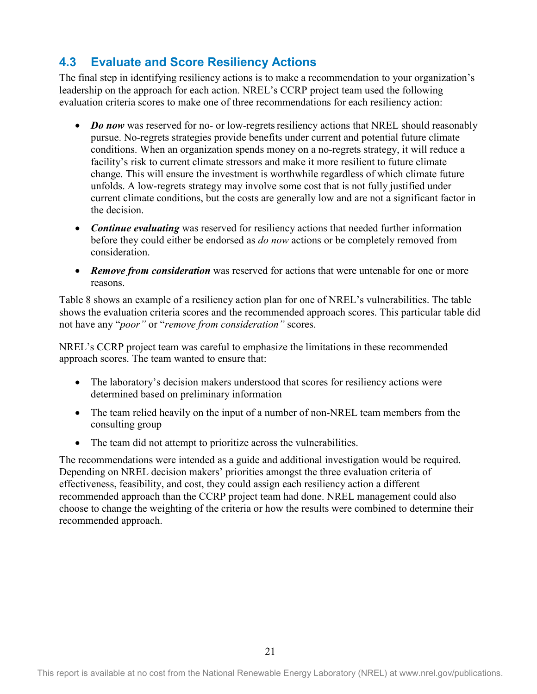## <span id="page-28-0"></span>**4.3 Evaluate and Score Resiliency Actions**

The final step in identifying resiliency actions is to make a recommendation to your organization's leadership on the approach for each action. NREL's CCRP project team used the following evaluation criteria scores to make one of three recommendations for each resiliency action:

- *Do now* was reserved for no- or low-regrets resiliency actions that NREL should reasonably pursue. No-regrets strategies provide benefits under current and potential future climate conditions. When an organization spends money on a no-regrets strategy, it will reduce a facility's risk to current climate stressors and make it more resilient to future climate change. This will ensure the investment is worthwhile regardless of which climate future unfolds. A low-regrets strategy may involve some cost that is not fully justified under current climate conditions, but the costs are generally low and are not a significant factor in the decision.
- *Continue evaluating* was reserved for resiliency actions that needed further information before they could either be endorsed as *do now* actions or be completely removed from consideration.
- *Remove from consideration* was reserved for actions that were untenable for one or more reasons.

Table 8 shows an example of a resiliency action plan for one of NREL's vulnerabilities. The table shows the evaluation criteria scores and the recommended approach scores. This particular table did not have any "*poor"* or "*remove from consideration"* scores.

NREL's CCRP project team was careful to emphasize the limitations in these recommended approach scores. The team wanted to ensure that:

- The laboratory's decision makers understood that scores for resiliency actions were determined based on preliminary information
- The team relied heavily on the input of a number of non-NREL team members from the consulting group
- The team did not attempt to prioritize across the vulnerabilities.

The recommendations were intended as a guide and additional investigation would be required. Depending on NREL decision makers' priorities amongst the three evaluation criteria of effectiveness, feasibility, and cost, they could assign each resiliency action a different recommended approach than the CCRP project team had done. NREL management could also choose to change the weighting of the criteria or how the results were combined to determine their recommended approach.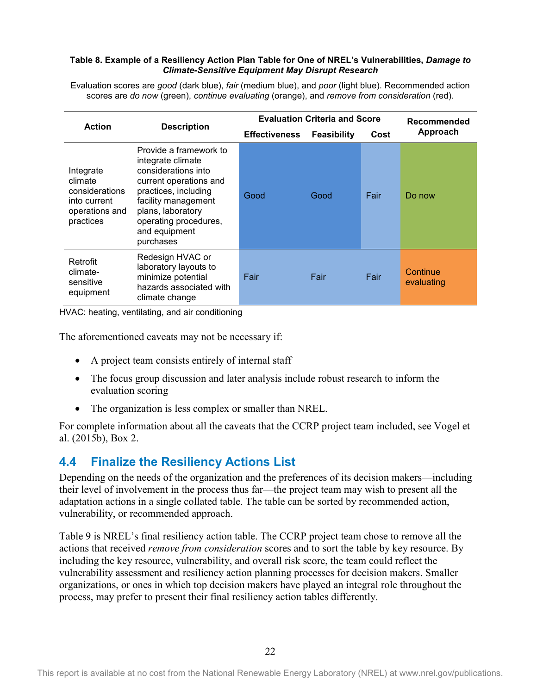#### <span id="page-29-1"></span>**Table 8. Example of a Resiliency Action Plan Table for One of NREL's Vulnerabilities,** *Damage to Climate-Sensitive Equipment May Disrupt Research*

Evaluation scores are *good* (dark blue), *fair* (medium blue), and *poor* (light blue). Recommended action scores are *do now* (green), *continue evaluating* (orange), and *remove from consideration* (red).

| <b>Action</b>                                                                         |                                                                                                                                                                                                                         | <b>Evaluation Criteria and Score</b> |             |      | Recommended            |
|---------------------------------------------------------------------------------------|-------------------------------------------------------------------------------------------------------------------------------------------------------------------------------------------------------------------------|--------------------------------------|-------------|------|------------------------|
|                                                                                       | <b>Description</b>                                                                                                                                                                                                      | <b>Effectiveness</b>                 | Feasibility | Cost | Approach               |
| Integrate<br>climate<br>considerations<br>into current<br>operations and<br>practices | Provide a framework to<br>integrate climate<br>considerations into<br>current operations and<br>practices, including<br>facility management<br>plans, laboratory<br>operating procedures,<br>and equipment<br>purchases | Good                                 | Good        | Fair | Do now                 |
| Retrofit<br>climate-<br>sensitive<br>equipment                                        | Redesign HVAC or<br>laboratory layouts to<br>minimize potential<br>hazards associated with<br>climate change                                                                                                            | Fair                                 | Fair        | Fair | Continue<br>evaluating |

HVAC: heating, ventilating, and air conditioning

The aforementioned caveats may not be necessary if:

- A project team consists entirely of internal staff
- The focus group discussion and later analysis include robust research to inform the evaluation scoring
- The organization is less complex or smaller than NREL.

For complete information about all the caveats that the CCRP project team included, see Vogel et al. (2015b), Box 2.

### <span id="page-29-0"></span>**4.4 Finalize the Resiliency Actions List**

Depending on the needs of the organization and the preferences of its decision makers—including their level of involvement in the process thus far—the project team may wish to present all the adaptation actions in a single collated table. The table can be sorted by recommended action, vulnerability, or recommended approach.

Table 9 is NREL's final resiliency action table. The CCRP project team chose to remove all the actions that received *remove from consideration* scores and to sort the table by key resource. By including the key resource, vulnerability, and overall risk score, the team could reflect the vulnerability assessment and resiliency action planning processes for decision makers. Smaller organizations, or ones in which top decision makers have played an integral role throughout the process, may prefer to present their final resiliency action tables differently.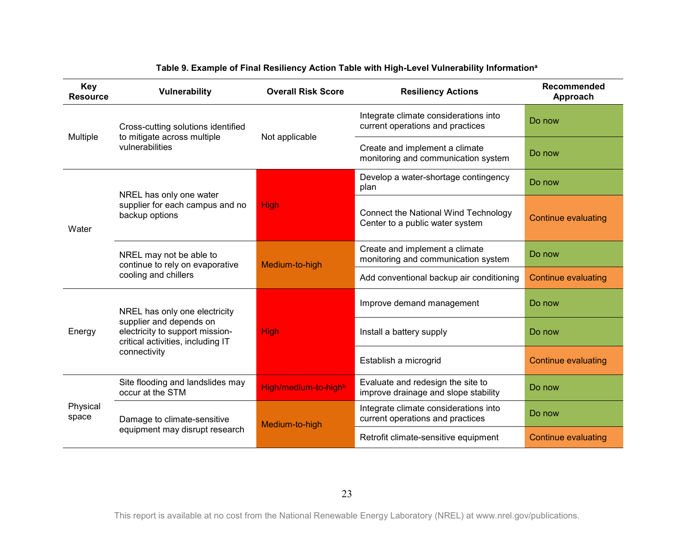<span id="page-30-0"></span>

| <b>Key</b><br><b>Resource</b> | Vulnerability                                                                                                                                    | <b>Overall Risk Score</b> | <b>Resiliency Actions</b>                                                 | Recommended<br>Approach    |
|-------------------------------|--------------------------------------------------------------------------------------------------------------------------------------------------|---------------------------|---------------------------------------------------------------------------|----------------------------|
| Multiple                      | Cross-cutting solutions identified<br>to mitigate across multiple<br>vulnerabilities                                                             | Not applicable            | Integrate climate considerations into<br>current operations and practices | Do now                     |
|                               |                                                                                                                                                  |                           | Create and implement a climate<br>monitoring and communication system     | Do now                     |
| Water                         | NREL has only one water                                                                                                                          | <b>High</b>               | Develop a water-shortage contingency<br>plan                              | Do now                     |
|                               | supplier for each campus and no<br>backup options                                                                                                |                           | Connect the National Wind Technology<br>Center to a public water system   | <b>Continue evaluating</b> |
|                               | NREL may not be able to<br>continue to rely on evaporative<br>cooling and chillers                                                               | Medium-to-high            | Create and implement a climate<br>monitoring and communication system     | Do now                     |
|                               |                                                                                                                                                  |                           | Add conventional backup air conditioning                                  | <b>Continue evaluating</b> |
| Energy                        | NREL has only one electricity<br>supplier and depends on<br>electricity to support mission-<br>critical activities, including IT<br>connectivity | <b>High</b>               | Improve demand management                                                 | Do now                     |
|                               |                                                                                                                                                  |                           | Install a battery supply                                                  | Do now                     |
|                               |                                                                                                                                                  |                           | Establish a microgrid                                                     | <b>Continue evaluating</b> |
| Physical<br>space             | Site flooding and landslides may<br>occur at the STM                                                                                             | High/medium-to-highb      | Evaluate and redesign the site to<br>improve drainage and slope stability | Do now                     |
|                               | Damage to climate-sensitive<br>equipment may disrupt research                                                                                    | Medium-to-high            | Integrate climate considerations into<br>current operations and practices | Do now                     |
|                               |                                                                                                                                                  |                           | Retrofit climate-sensitive equipment                                      | <b>Continue evaluating</b> |

#### **Table 9. Example of Final Resiliency Action Table with High-Level Vulnerability Informationa**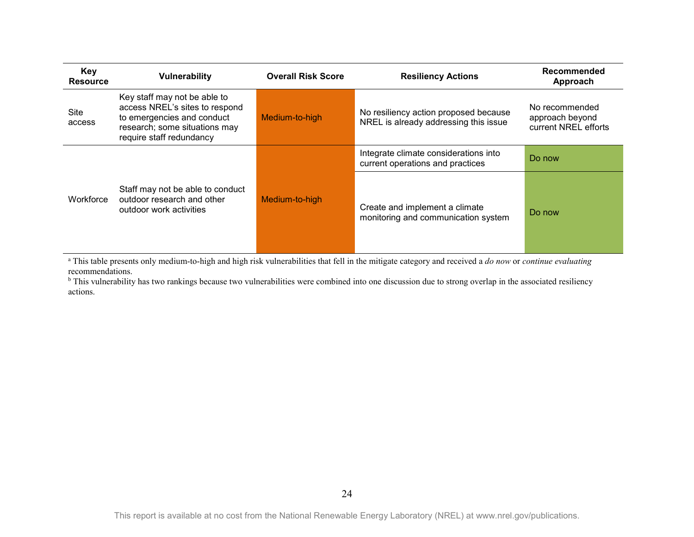| Key<br><b>Resource</b> | Vulnerability                                                                                                                                             | <b>Overall Risk Score</b> | <b>Resiliency Actions</b>                                                      | Recommended<br>Approach                                   |
|------------------------|-----------------------------------------------------------------------------------------------------------------------------------------------------------|---------------------------|--------------------------------------------------------------------------------|-----------------------------------------------------------|
| Site<br>access         | Key staff may not be able to<br>access NREL's sites to respond<br>to emergencies and conduct<br>research; some situations may<br>require staff redundancy | Medium-to-high            | No resiliency action proposed because<br>NREL is already addressing this issue | No recommended<br>approach beyond<br>current NREL efforts |
|                        |                                                                                                                                                           |                           | Integrate climate considerations into<br>current operations and practices      | Do now                                                    |
| Workforce              | Staff may not be able to conduct<br>outdoor research and other<br>outdoor work activities                                                                 | Medium-to-high            | Create and implement a climate<br>monitoring and communication system          | Do now                                                    |

<sup>a</sup> This table presents only medium-to-high and high risk vulnerabilities that fell in the mitigate category and received a *do now* or *continue evaluating* recommendations.

b This vulnerability has two rankings because two vulnerabilities were combined into one discussion due to strong overlap in the associated resiliency actions.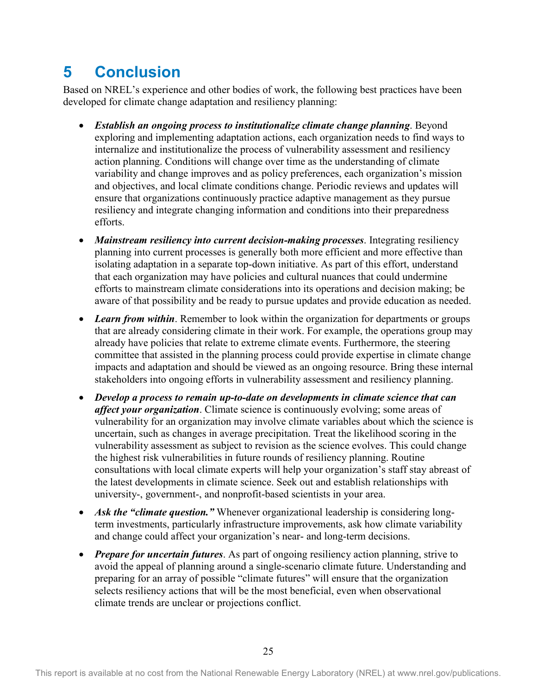## <span id="page-32-0"></span>**5 Conclusion**

Based on NREL's experience and other bodies of work, the following best practices have been developed for climate change adaptation and resiliency planning:

- *Establish an ongoing process to institutionalize climate change planning*. Beyond exploring and implementing adaptation actions, each organization needs to find ways to internalize and institutionalize the process of vulnerability assessment and resiliency action planning. Conditions will change over time as the understanding of climate variability and change improves and as policy preferences, each organization's mission and objectives, and local climate conditions change. Periodic reviews and updates will ensure that organizations continuously practice adaptive management as they pursue resiliency and integrate changing information and conditions into their preparedness efforts.
- *Mainstream resiliency into current decision-making processes*. Integrating resiliency planning into current processes is generally both more efficient and more effective than isolating adaptation in a separate top-down initiative. As part of this effort, understand that each organization may have policies and cultural nuances that could undermine efforts to mainstream climate considerations into its operations and decision making; be aware of that possibility and be ready to pursue updates and provide education as needed.
- Learn from within. Remember to look within the organization for departments or groups that are already considering climate in their work. For example, the operations group may already have policies that relate to extreme climate events. Furthermore, the steering committee that assisted in the planning process could provide expertise in climate change impacts and adaptation and should be viewed as an ongoing resource. Bring these internal stakeholders into ongoing efforts in vulnerability assessment and resiliency planning.
- *Develop a process to remain up-to-date on developments in climate science that can affect your organization*. Climate science is continuously evolving; some areas of vulnerability for an organization may involve climate variables about which the science is uncertain, such as changes in average precipitation. Treat the likelihood scoring in the vulnerability assessment as subject to revision as the science evolves. This could change the highest risk vulnerabilities in future rounds of resiliency planning. Routine consultations with local climate experts will help your organization's staff stay abreast of the latest developments in climate science. Seek out and establish relationships with university-, government-, and nonprofit-based scientists in your area.
- *Ask the "climate question.*" Whenever organizational leadership is considering longterm investments, particularly infrastructure improvements, ask how climate variability and change could affect your organization's near- and long-term decisions.
- *Prepare for uncertain futures*. As part of ongoing resiliency action planning, strive to avoid the appeal of planning around a single-scenario climate future. Understanding and preparing for an array of possible "climate futures" will ensure that the organization selects resiliency actions that will be the most beneficial, even when observational climate trends are unclear or projections conflict.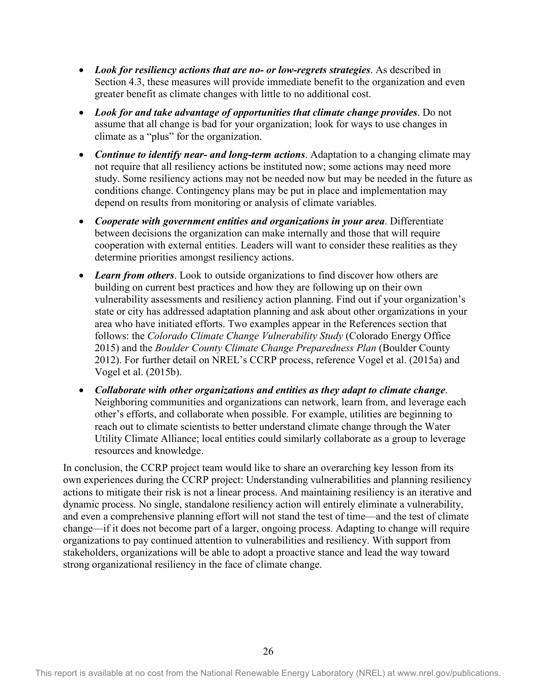- *Look for resiliency actions that are no- or low-regrets strategies*. As described in Section 4.3, these measures will provide immediate benefit to the organization and even greater benefit as climate changes with little to no additional cost.
- *Look for and take advantage of opportunities that climate change provides*. Do not assume that all change is bad for your organization; look for ways to use changes in climate as a "plus" for the organization.
- *Continue to identify near- and long-term actions*. Adaptation to a changing climate may not require that all resiliency actions be instituted now; some actions may need more study. Some resiliency actions may not be needed now but may be needed in the future as conditions change. Contingency plans may be put in place and implementation may depend on results from monitoring or analysis of climate variables.
- *Cooperate with government entities and organizations in your area*. Differentiate between decisions the organization can make internally and those that will require cooperation with external entities. Leaders will want to consider these realities as they determine priorities amongst resiliency actions.
- *Learn from others*. Look to outside organizations to find discover how others are building on current best practices and how they are following up on their own vulnerability assessments and resiliency action planning. Find out if your organization's state or city has addressed adaptation planning and ask about other organizations in your area who have initiated efforts. Two examples appear in the References section that follows: the *Colorado Climate Change Vulnerability Study* (Colorado Energy Office 2015) and the *Boulder County Climate Change Preparedness Plan* (Boulder County 2012). For further detail on NREL's CCRP process, reference Vogel et al. (2015a) and Vogel et al. (2015b).
- *Collaborate with other organizations and entities as they adapt to climate change*. Neighboring communities and organizations can network, learn from, and leverage each other's efforts, and collaborate when possible. For example, utilities are beginning to reach out to climate scientists to better understand climate change through the Water Utility Climate Alliance; local entities could similarly collaborate as a group to leverage resources and knowledge.

In conclusion, the CCRP project team would like to share an overarching key lesson from its own experiences during the CCRP project: Understanding vulnerabilities and planning resiliency actions to mitigate their risk is not a linear process. And maintaining resiliency is an iterative and dynamic process. No single, standalone resiliency action will entirely eliminate a vulnerability, and even a comprehensive planning effort will not stand the test of time—and the test of climate change—if it does not become part of a larger, ongoing process. Adapting to change will require organizations to pay continued attention to vulnerabilities and resiliency. With support from stakeholders, organizations will be able to adopt a proactive stance and lead the way toward strong organizational resiliency in the face of climate change.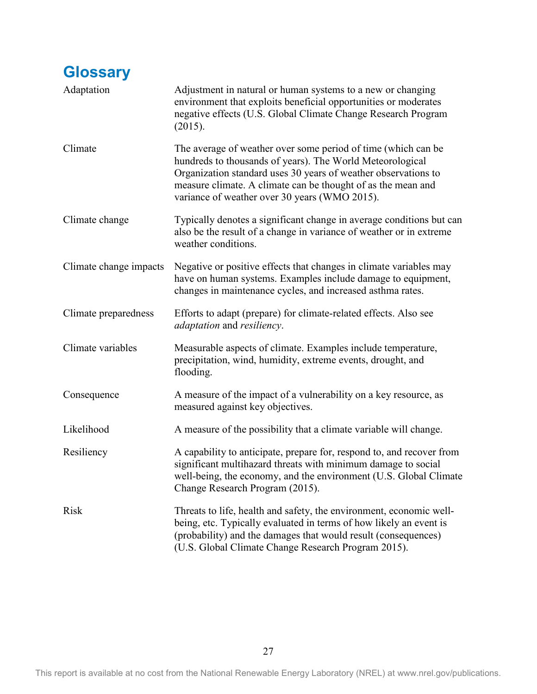<span id="page-34-0"></span>

| <b>Glossary</b>        |                                                                                                                                                                                                                                                                                                               |
|------------------------|---------------------------------------------------------------------------------------------------------------------------------------------------------------------------------------------------------------------------------------------------------------------------------------------------------------|
| Adaptation             | Adjustment in natural or human systems to a new or changing<br>environment that exploits beneficial opportunities or moderates<br>negative effects (U.S. Global Climate Change Research Program<br>(2015).                                                                                                    |
| Climate                | The average of weather over some period of time (which can be<br>hundreds to thousands of years). The World Meteorological<br>Organization standard uses 30 years of weather observations to<br>measure climate. A climate can be thought of as the mean and<br>variance of weather over 30 years (WMO 2015). |
| Climate change         | Typically denotes a significant change in average conditions but can<br>also be the result of a change in variance of weather or in extreme<br>weather conditions.                                                                                                                                            |
| Climate change impacts | Negative or positive effects that changes in climate variables may<br>have on human systems. Examples include damage to equipment,<br>changes in maintenance cycles, and increased asthma rates.                                                                                                              |
| Climate preparedness   | Efforts to adapt (prepare) for climate-related effects. Also see<br><i>adaptation</i> and <i>resiliency</i> .                                                                                                                                                                                                 |
| Climate variables      | Measurable aspects of climate. Examples include temperature,<br>precipitation, wind, humidity, extreme events, drought, and<br>flooding.                                                                                                                                                                      |
| Consequence            | A measure of the impact of a vulnerability on a key resource, as<br>measured against key objectives.                                                                                                                                                                                                          |
| Likelihood             | A measure of the possibility that a climate variable will change.                                                                                                                                                                                                                                             |
| Resiliency             | A capability to anticipate, prepare for, respond to, and recover from<br>significant multihazard threats with minimum damage to social<br>well-being, the economy, and the environment (U.S. Global Climate<br>Change Research Program (2015).                                                                |
| <b>Risk</b>            | Threats to life, health and safety, the environment, economic well-<br>being, etc. Typically evaluated in terms of how likely an event is<br>(probability) and the damages that would result (consequences)<br>(U.S. Global Climate Change Research Program 2015).                                            |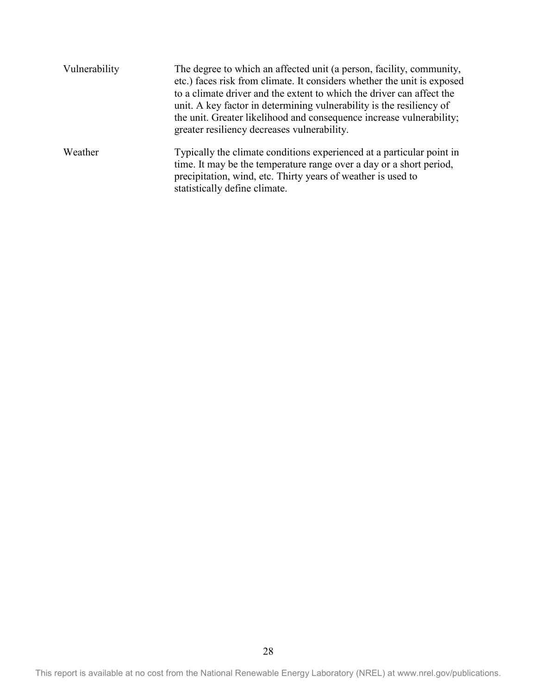| Vulnerability | The degree to which an affected unit (a person, facility, community,<br>etc.) faces risk from climate. It considers whether the unit is exposed<br>to a climate driver and the extent to which the driver can affect the<br>unit. A key factor in determining vulnerability is the resiliency of<br>the unit. Greater likelihood and consequence increase vulnerability;<br>greater resiliency decreases vulnerability. |
|---------------|-------------------------------------------------------------------------------------------------------------------------------------------------------------------------------------------------------------------------------------------------------------------------------------------------------------------------------------------------------------------------------------------------------------------------|
| Weather       | Typically the climate conditions experienced at a particular point in<br>time. It may be the temperature range over a day or a short period,<br>precipitation, wind, etc. Thirty years of weather is used to<br>statistically define climate.                                                                                                                                                                           |

This report is available at no cost from the National Renewable Energy Laboratory (NREL) at www.nrel.gov/publications.